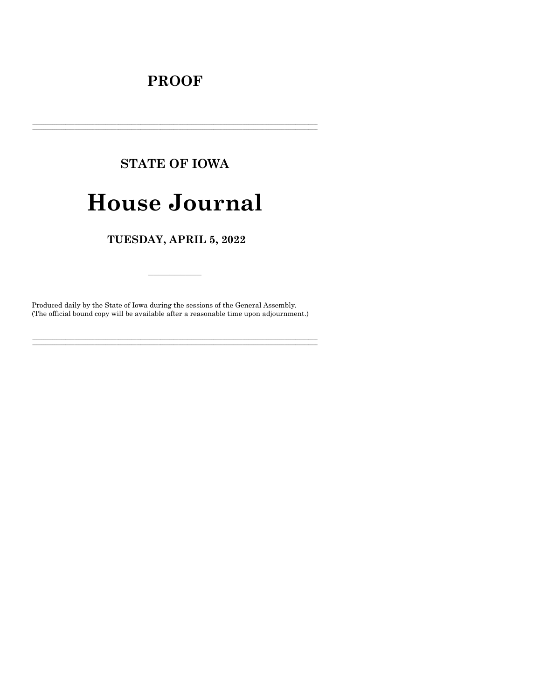# **PROOF**

# **STATE OF IOWA House Journal**

TUESDAY, APRIL 5, 2022

Produced daily by the State of Iowa during the sessions of the General Assembly. (The official bound copy will be available after a reasonable time upon adjournment.)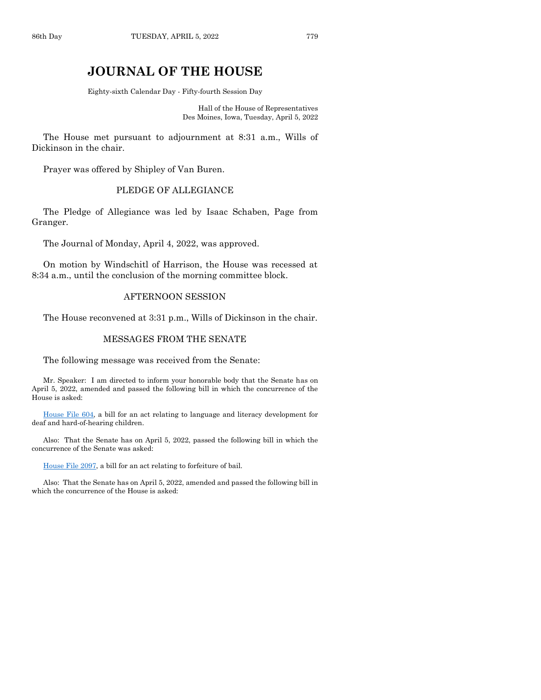# **JOURNAL OF THE HOUSE**

Eighty-sixth Calendar Day - Fifty-fourth Session Day

Hall of the House of Representatives Des Moines, Iowa, Tuesday, April 5, 2022

The House met pursuant to adjournment at 8:31 a.m., Wills of Dickinson in the chair.

Prayer was offered by Shipley of Van Buren.

# PLEDGE OF ALLEGIANCE

The Pledge of Allegiance was led by Isaac Schaben, Page from Granger.

The Journal of Monday, April 4, 2022, was approved.

On motion by Windschitl of Harrison, the House was recessed at 8:34 a.m., until the conclusion of the morning committee block.

#### AFTERNOON SESSION

The House reconvened at 3:31 p.m., Wills of Dickinson in the chair.

#### MESSAGES FROM THE SENATE

The following message was received from the Senate:

Mr. Speaker: I am directed to inform your honorable body that the Senate has on April 5, 2022, amended and passed the following bill in which the concurrence of the House is asked:

[House File 604,](https://www.legis.iowa.gov/legislation/BillBook?ga=89&ba=HF604) a bill for an act relating to language and literacy development for deaf and hard-of-hearing children.

Also: That the Senate has on April 5, 2022, passed the following bill in which the concurrence of the Senate was asked:

[House File 2097,](https://www.legis.iowa.gov/legislation/BillBook?ga=89&ba=HF2097) a bill for an act relating to forfeiture of bail.

Also: That the Senate has on April 5, 2022, amended and passed the following bill in which the concurrence of the House is asked: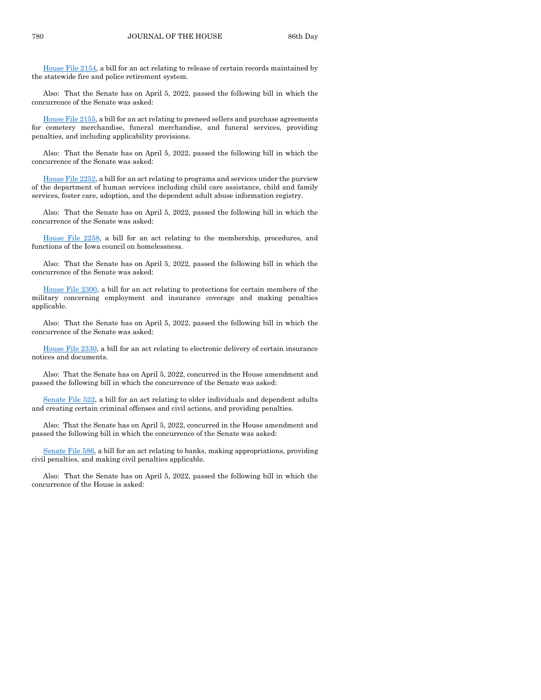[House File 2154,](https://www.legis.iowa.gov/legislation/BillBook?ga=89&ba=HF2154) a bill for an act relating to release of certain records maintained by the statewide fire and police retirement system.

Also: That the Senate has on April 5, 2022, passed the following bill in which the concurrence of the Senate was asked:

[House File 2155,](https://www.legis.iowa.gov/legislation/BillBook?ga=89&ba=HF2155) a bill for an act relating to preneed sellers and purchase agreements for cemetery merchandise, funeral merchandise, and funeral services, providing penalties, and including applicability provisions.

Also: That the Senate has on April 5, 2022, passed the following bill in which the concurrence of the Senate was asked:

[House File 2252,](https://www.legis.iowa.gov/legislation/BillBook?ga=89&ba=HF2252) a bill for an act relating to programs and services under the purview of the department of human services including child care assistance, child and family services, foster care, adoption, and the dependent adult abuse information registry.

Also: That the Senate has on April 5, 2022, passed the following bill in which the concurrence of the Senate was asked:

[House File 2258,](https://www.legis.iowa.gov/legislation/BillBook?ga=89&ba=HF2258) a bill for an act relating to the membership, procedures, and functions of the Iowa council on homelessness.

Also: That the Senate has on April 5, 2022, passed the following bill in which the concurrence of the Senate was asked:

[House File 2300,](https://www.legis.iowa.gov/legislation/BillBook?ga=89&ba=HF2300) a bill for an act relating to protections for certain members of the military concerning employment and insurance coverage and making penalties applicable.

Also: That the Senate has on April 5, 2022, passed the following bill in which the concurrence of the Senate was asked:

[House File 2330,](https://www.legis.iowa.gov/legislation/BillBook?ga=89&ba=HF2330) a bill for an act relating to electronic delivery of certain insurance notices and documents.

Also: That the Senate has on April 5, 2022, concurred in the House amendment and passed the following bill in which the concurrence of the Senate was asked:

[Senate File 522,](https://www.legis.iowa.gov/legislation/BillBook?ga=89&ba=SF522) a bill for an act relating to older individuals and dependent adults and creating certain criminal offenses and civil actions, and providing penalties.

Also: That the Senate has on April 5, 2022, concurred in the House amendment and passed the following bill in which the concurrence of the Senate was asked:

[Senate File 586,](https://www.legis.iowa.gov/legislation/BillBook?ga=89&ba=SF586) a bill for an act relating to banks, making appropriations, providing civil penalties, and making civil penalties applicable.

Also: That the Senate has on April 5, 2022, passed the following bill in which the concurrence of the House is asked: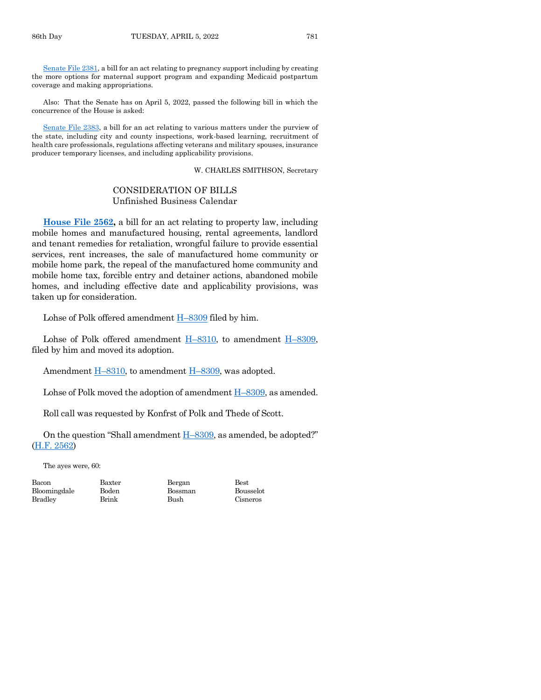[Senate File 2381,](https://www.legis.iowa.gov/legislation/BillBook?ga=89&ba=SF2381) a bill for an act relating to pregnancy support including by creating the more options for maternal support program and expanding Medicaid postpartum coverage and making appropriations.

Also: That the Senate has on April 5, 2022, passed the following bill in which the concurrence of the House is asked:

[Senate File 2383,](https://www.legis.iowa.gov/legislation/BillBook?ga=89&ba=SF2383) a bill for an act relating to various matters under the purview of the state, including city and county inspections, work-based learning, recruitment of health care professionals, regulations affecting veterans and military spouses, insurance producer temporary licenses, and including applicability provisions.

#### W. CHARLES SMITHSON, Secretary

# CONSIDERATION OF BILLS Unfinished Business Calendar

**[House File 2562,](https://www.legis.iowa.gov/legislation/BillBook?ga=89&ba=HF2562)** a bill for an act relating to property law, including mobile homes and manufactured housing, rental agreements, landlord and tenant remedies for retaliation, wrongful failure to provide essential services, rent increases, the sale of manufactured home community or mobile home park, the repeal of the manufactured home community and mobile home tax, forcible entry and detainer actions, abandoned mobile homes, and including effective date and applicability provisions, was taken up for consideration.

Lohse of Polk offered amendment H–[8309](https://www.legis.iowa.gov/legislation/BillBook?ga=89&ba=H8309) filed by him.

Lohse of Polk offered amendment  $H-8310$ , to amendment  $H-8309$ , filed by him and moved its adoption.

Amendment H–[8310,](https://www.legis.iowa.gov/legislation/BillBook?ga=89&ba=H8310) to amendment H–[8309,](https://www.legis.iowa.gov/legislation/BillBook?ga=89&ba=H8309) was adopted.

Lohse of Polk moved the adoption of amendment H–[8309,](https://www.legis.iowa.gov/legislation/BillBook?ga=89&ba=H8309) as amended.

Roll call was requested by Konfrst of Polk and Thede of Scott.

On the question "Shall amendment  $H$ –[8309](https://www.legis.iowa.gov/legislation/BillBook?ga=89&ba=H8309), as amended, be adopted?" [\(H.F. 2562\)](https://www.legis.iowa.gov/legislation/BillBook?ga=89&ba=HF2562)

The ayes were, 60:

Bloomingdale Boden Bossman Bousselot Bradley Brink Bush Cisneros

Bacon Baxter Bergan Best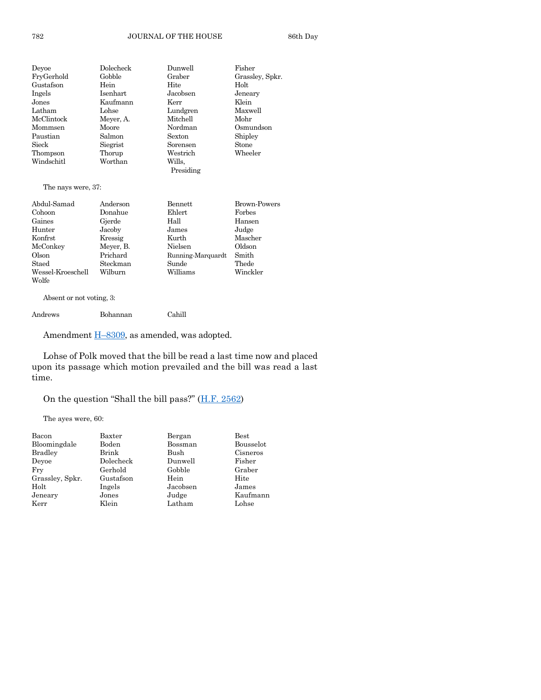#### 782 JOURNAL OF THE HOUSE 86th Day

| Devoe                    | Dolecheck       | Dunwell           | Fisher              |
|--------------------------|-----------------|-------------------|---------------------|
| FryGerhold               | Gobble          | Graber            | Grassley, Spkr.     |
| Gustafson                | Hein            | Hite              | Holt                |
| Ingels                   | <b>Isenhart</b> | Jacobsen          | Jeneary             |
| Jones                    | Kaufmann        | Kerr              | Klein               |
| Latham                   | Lohse           | Lundgren          | Maxwell             |
| McClintock               | Meyer, A.       | Mitchell          | Mohr                |
| Mommsen                  | Moore           | Nordman           | Osmundson           |
| Paustian                 | Salmon          | <b>Sexton</b>     | Shipley             |
| Sieck                    | Siegrist        | Sorensen          | Stone               |
| Thompson                 | Thorup          | Westrich          | Wheeler             |
| Windschitl               | Worthan         | Wills.            |                     |
|                          |                 | Presiding         |                     |
| The nays were, 37:       |                 |                   |                     |
| Abdul-Samad              | Anderson        | <b>Bennett</b>    | <b>Brown-Powers</b> |
| Cohoon                   | Donahue         | Ehlert            | Forbes              |
| Gaines                   | Gjerde          | Hall              | Hansen              |
| Hunter                   | Jacoby          | James             | Judge               |
| Konfrst                  | Kressig         | Kurth             | Mascher             |
| McConkey                 | Meyer, B.       | Nielsen           | Oldson              |
| Olson                    | Prichard        | Running-Marquardt | Smith               |
| Staed                    | Steckman        | Sunde             | Thede               |
| Wessel-Kroeschell        | Wilburn         | Williams          | Winckler            |
| Wolfe                    |                 |                   |                     |
| Absent or not voting, 3: |                 |                   |                     |
| Andrews                  | Bohannan        | Cahill            |                     |

Amendment **H**-[8309,](https://www.legis.iowa.gov/legislation/BillBook?ga=89&ba=H8309) as amended, was adopted.

Lohse of Polk moved that the bill be read a last time now and placed upon its passage which motion prevailed and the bill was read a last time.

On the question "Shall the bill pass?" ([H.F. 2562\)](https://www.legis.iowa.gov/legislation/BillBook?ga=89&ba=HF2562)

The ayes were, 60:

| Bacon           | Baxter    | Bergan   | Best      |
|-----------------|-----------|----------|-----------|
| Bloomingdale    | Boden     | Bossman  | Bousselot |
| <b>Bradley</b>  | Brink     | Bush     | Cisneros  |
| Devoe           | Dolecheck | Dunwell  | Fisher    |
| Fry             | Gerhold   | Gobble   | Graber    |
| Grassley, Spkr. | Gustafson | Hein     | Hite      |
| Holt            | Ingels    | Jacobsen | James     |
| Jeneary         | Jones     | Judge    | Kaufmann  |
| Kerr            | Klein     | Latham   | Lohse     |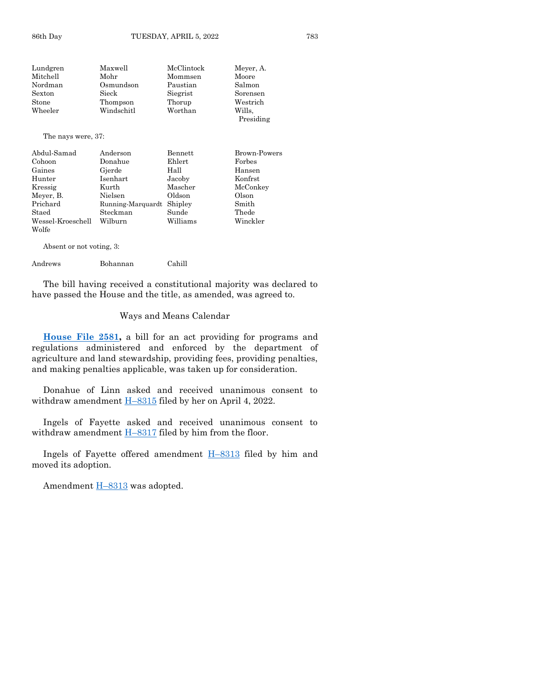| Lundgren           | Maxwell    | McClintock | Meyer, A. |
|--------------------|------------|------------|-----------|
| Mitchell           | Mohr       | Mommsen    | Moore     |
| Nordman            | Osmundson  | Paustian   | Salmon    |
| $S$ exton          | Sieck      | Siegrist   | Sorensen  |
| Stone              | Thompson   | Thorup     | Westrich  |
| Wheeler            | Windschitl | Worthan    | Wills.    |
|                    |            |            | Presiding |
| The nays were, 37: |            |            |           |

| Abdul-Samad       | Anderson          | Bennett  | Brown-Powers |
|-------------------|-------------------|----------|--------------|
| Cohoon            | Donahue           | Ehlert   | Forbes       |
| Gaines            | Gjerde            | Hall     | Hansen       |
| Hunter            | <b>Isenhart</b>   | Jacoby   | Konfrst      |
| Kressig           | Kurth             | Mascher  | McConkey     |
| Meyer, B.         | Nielsen           | Oldson   | Olson        |
| Prichard          | Running-Marquardt | Shipley  | Smith        |
| Staed             | Steckman          | Sunde    | Thede        |
| Wessel-Kroeschell | Wilburn           | Williams | Winckler     |
| Wolfe             |                   |          |              |

Absent or not voting, 3:

#### Andrews Bohannan Cahill

The bill having received a constitutional majority was declared to have passed the House and the title, as amended, was agreed to.

#### Ways and Means Calendar

**[House File 2581,](https://www.legis.iowa.gov/legislation/BillBook?ga=89&ba=HF2581)** a bill for an act providing for programs and regulations administered and enforced by the department of agriculture and land stewardship, providing fees, providing penalties, and making penalties applicable, was taken up for consideration.

Donahue of Linn asked and received unanimous consent to withdraw amendment  $H-8315$  $H-8315$  filed by her on April 4, 2022.

Ingels of Fayette asked and received unanimous consent to withdraw amendment  $H-8317$  $H-8317$  filed by him from the floor.

Ingels of Fayette offered amendment  $H-8313$  $H-8313$  filed by him and moved its adoption.

Amendment  $H-8313$  $H-8313$  was adopted.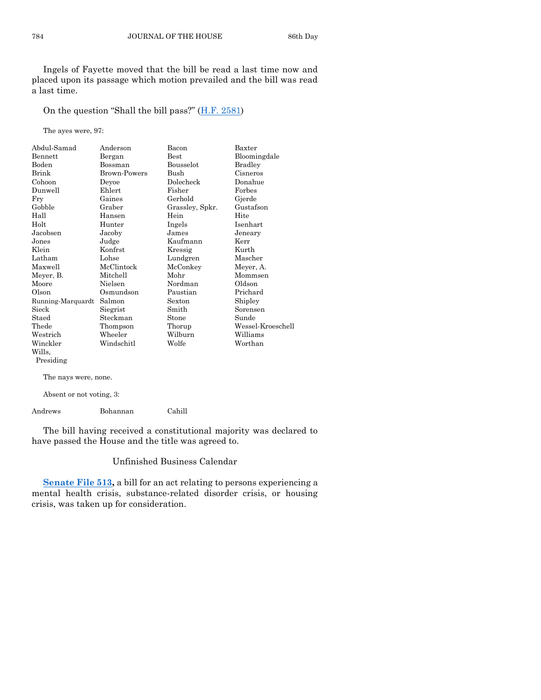Ingels of Fayette moved that the bill be read a last time now and placed upon its passage which motion prevailed and the bill was read a last time.

On the question "Shall the bill pass?"  $(H.F. 2581)$  $(H.F. 2581)$ 

The ayes were, 97:

| Abdul-Samad          | Anderson     | Bacon           | Baxter            |
|----------------------|--------------|-----------------|-------------------|
| Bennett              | Bergan       | Best            | Bloomingdale      |
| Boden                | Bossman      | Bousselot       | <b>Bradley</b>    |
| Brink                | Brown-Powers | <b>Bush</b>     | Cisneros          |
| Cohoon               | Deyoe        | Dolecheck       | Donahue           |
| Dunwell              | Ehlert       | Fisher          | Forbes            |
| Fry                  | Gaines       | Gerhold         | Gjerde            |
| Gobble               | Graber       | Grassley, Spkr. | Gustafson         |
| Hall                 | Hansen       | Hein            | Hite              |
| Holt                 | Hunter       | Ingels          | Isenhart          |
| Jacobsen             | Jacoby       | James           | Jeneary           |
| Jones                | Judge        | Kaufmann        | Kerr              |
| Klein                | Konfrst      | Kressig         | Kurth             |
| Latham               | Lohse        | Lundgren        | Mascher           |
| Maxwell              | McClintock   | McConkey        | Meyer, A.         |
| Meyer, B.            | Mitchell     | Mohr            | Mommsen           |
| Moore                | Nielsen      | Nordman         | Oldson            |
| Olson                | Osmundson    | Paustian        | Prichard          |
| Running-Marquardt    | Salmon       | Sexton          | Shipley           |
| Sieck                | Siegrist     | Smith           | Sorensen          |
| Staed                | Steckman     | Stone           | Sunde             |
| Thede                | Thompson     | Thorup          | Wessel-Kroeschell |
| Westrich             | Wheeler      | Wilburn         | Williams          |
| Winckler             | Windschitl   | Wolfe           | Worthan           |
| Wills,               |              |                 |                   |
| Presiding            |              |                 |                   |
| The nays were, none. |              |                 |                   |

Absent or not voting, 3:

Andrews Bohannan Cahill

The bill having received a constitutional majority was declared to have passed the House and the title was agreed to.

# Unfinished Business Calendar

**[Senate File 513,](https://www.legis.iowa.gov/legislation/BillBook?ga=89&ba=SF513)** a bill for an act relating to persons experiencing a mental health crisis, substance-related disorder crisis, or housing crisis, was taken up for consideration.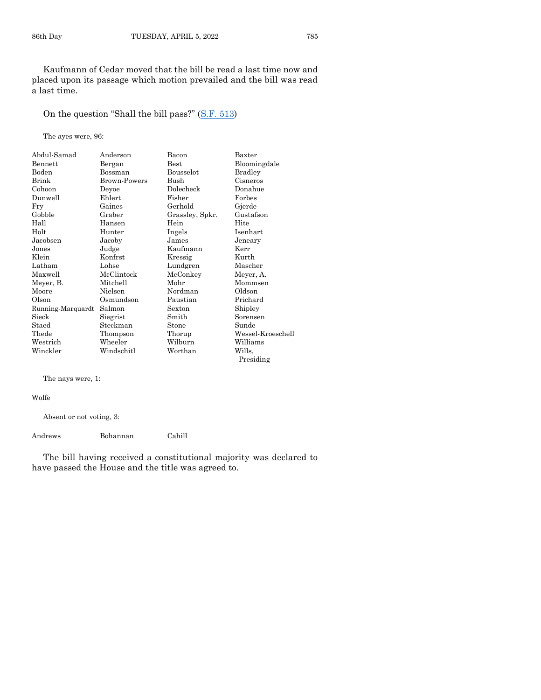Kaufmann of Cedar moved that the bill be read a last time now and placed upon its passage which motion prevailed and the bill was read a last time.

# On the question "Shall the bill pass?" ([S.F. 513\)](https://www.legis.iowa.gov/legislation/BillBook?ga=89&ba=SF513)

The ayes were, 96:

| Abdul-Samad       | Anderson     | Bacon           | Baxter            |
|-------------------|--------------|-----------------|-------------------|
| Bennett           | Bergan       | $_{\rm Best}$   | Bloomingdale      |
| Boden             | Bossman      | Bousselot       | Bradley           |
| Brink             | Brown-Powers | Bush            | Cisneros          |
| Cohoon            | Deyoe        | Dolecheck       | Donahue           |
| Dunwell           | Ehlert       | Fisher          | Forbes            |
| Fry               | Gaines       | Gerhold         | Gjerde            |
| Gobble            | Graber       | Grassley, Spkr. | Gustafson         |
| Hall              | Hansen       | Hein            | Hite              |
| Holt              | Hunter       | Ingels          | Isenhart          |
| Jacobsen          | Jacoby       | James           | Jeneary           |
| Jones             | Judge        | Kaufmann        | Kerr              |
| Klein             | Konfrst      | Kressig         | Kurth             |
| Latham            | Lohse        | Lundgren        | Mascher           |
| Maxwell           | McClintock   | McConkey        | Meyer, A.         |
| Meyer, B.         | Mitchell     | Mohr            | Mommsen           |
| Moore             | Nielsen      | Nordman         | Oldson            |
| Olson             | Osmundson    | Paustian        | Prichard          |
| Running-Marquardt | Salmon       | Sexton          | Shipley           |
| Sieck             | Siegrist     | Smith           | Sorensen          |
| Staed             | Steckman     | Stone           | Sunde             |
| Thede             | Thompson     | Thorup          | Wessel-Kroeschell |
| Westrich          | Wheeler      | Wilburn         | Williams          |
| Winckler          | Windschitl   | Worthan         | Wills,            |
|                   |              |                 | Presiding         |

The nays were, 1:

Wolfe

Absent or not voting, 3:

Andrews Bohannan Cahill

The bill having received a constitutional majority was declared to have passed the House and the title was agreed to.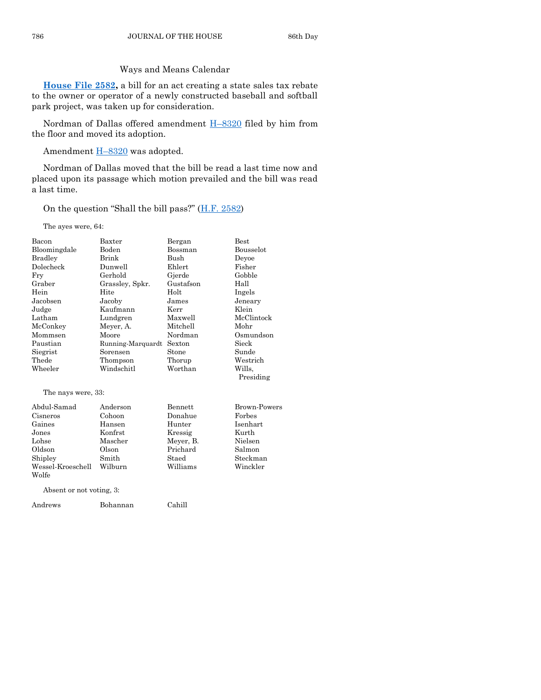# Ways and Means Calendar

**[House File 2582,](https://www.legis.iowa.gov/legislation/BillBook?ga=89&ba=HF2582)** a bill for an act creating a state sales tax rebate to the owner or operator of a newly constructed baseball and softball park project, was taken up for consideration.

Nordman of Dallas offered amendment H–[8320](https://www.legis.iowa.gov/legislation/BillBook?ga=89&ba=H8320) filed by him from the floor and moved its adoption.

Amendment  $H-8320$  $H-8320$  was adopted.

Nordman of Dallas moved that the bill be read a last time now and placed upon its passage which motion prevailed and the bill was read a last time.

On the question "Shall the bill pass?"  $(H.F. 2582)$  $(H.F. 2582)$ 

The ayes were, 64:

| Bacon                    | $B$ axter         | Bergan    | <b>Best</b>         |
|--------------------------|-------------------|-----------|---------------------|
| Bloomingdale             | Boden             | Bossman   | Bousselot           |
| Bradley                  | Brink             | Bush      | Deyoe               |
| Dolecheck                | Dunwell           | Ehlert    | Fisher              |
| Fry                      | Gerhold           | Gjerde    | Gobble              |
| Graber                   | Grassley, Spkr.   | Gustafson | Hall                |
| Hein                     | Hite              | Holt      | Ingels              |
| Jacobsen                 | Jacoby            | James     | Jeneary             |
| Judge                    | Kaufmann          | Kerr      | Klein               |
| Latham                   | Lundgren          | Maxwell   | McClintock          |
| McConkey                 | Meyer, A.         | Mitchell  | Mohr                |
| Mommsen                  | Moore             | Nordman   | Osmundson           |
| Paustian                 | Running-Marquardt | Sexton    | Sieck               |
| Siegrist                 | Sorensen          | Stone     | Sunde               |
| Thede                    | Thompson          | Thorup    | Westrich            |
| Wheeler                  | Windschitl        | Worthan   | Wills.              |
|                          |                   |           | Presiding           |
| The nays were, 33:       |                   |           |                     |
| Abdul-Samad              | Anderson          | Bennett   | <b>Brown-Powers</b> |
| Cisneros                 | Cohoon            | Donahue   | Forbes              |
| Gaines                   | Hansen            | Hunter    | Isenhart            |
| Jones                    | Konfrst           | Kressig   | Kurth               |
| Lohse                    | Mascher           | Meyer, B. | Nielsen             |
| Oldson                   | Olson             | Prichard  | Salmon              |
| Shipley                  | Smith             | Staed     | Steckman            |
| Wessel-Kroeschell        | Wilburn           | Williams  | Winckler            |
| Wolfe                    |                   |           |                     |
| Absent or not voting, 3: |                   |           |                     |
| Andrews                  | Bohannan          | Cahill    |                     |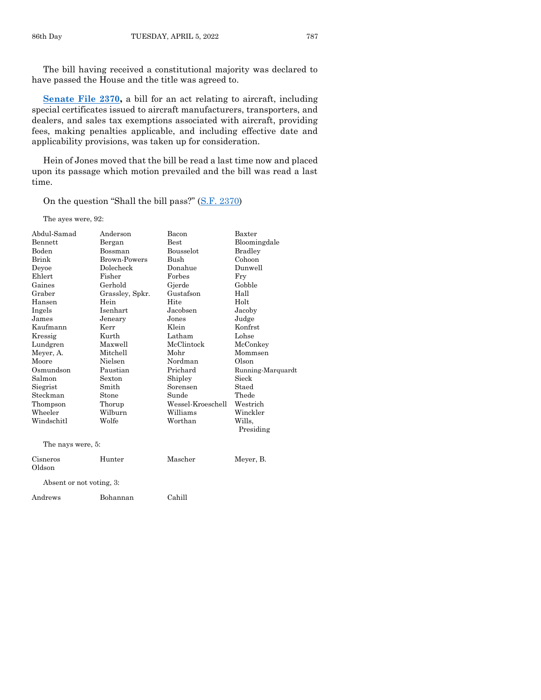The bill having received a constitutional majority was declared to have passed the House and the title was agreed to.

**[Senate File 2370,](https://www.legis.iowa.gov/legislation/BillBook?ga=89&ba=SF2370)** a bill for an act relating to aircraft, including special certificates issued to aircraft manufacturers, transporters, and dealers, and sales tax exemptions associated with aircraft, providing fees, making penalties applicable, and including effective date and applicability provisions, was taken up for consideration.

Hein of Jones moved that the bill be read a last time now and placed upon its passage which motion prevailed and the bill was read a last time.

On the question "Shall the bill pass?" ([S.F. 2370\)](https://www.legis.iowa.gov/legislation/BillBook?ga=89&ba=SF2370)

The ayes were, 92:

| Abdul-Samad              | Anderson            | Bacon             | Baxter            |
|--------------------------|---------------------|-------------------|-------------------|
| Bennett                  | Bergan              | Best              | Bloomingdale      |
| Boden                    | Bossman             | Bousselot         | <b>Bradley</b>    |
| Brink                    | <b>Brown-Powers</b> | <b>Bush</b>       | Cohoon            |
| Devoe                    | Dolecheck           | Donahue           | Dunwell           |
| Ehlert                   | Fisher              | Forbes            | Fry               |
| Gaines                   | Gerhold             | Gjerde            | Gobble            |
| Graber                   | Grassley, Spkr.     | Gustafson         | Hall              |
| Hansen                   | Hein                | Hite              | Holt              |
| Ingels                   | Isenhart            | Jacobsen          | Jacoby            |
| James                    | Jeneary             | Jones             | Judge             |
| Kaufmann                 | Kerr                | Klein             | Konfrst           |
| Kressig                  | Kurth               | Latham            | Lohse             |
| Lundgren                 | Maxwell             | McClintock        | McConkey          |
| Meyer, A.                | Mitchell            | Mohr              | Mommsen           |
| Moore                    | Nielsen             | Nordman           | Olson             |
| Osmundson                | Paustian            | Prichard          | Running-Marquardt |
| Salmon                   | Sexton              | Shipley           | Sieck             |
| Siegrist                 | Smith               | Sorensen          | Staed             |
| Steckman                 | Stone               | Sunde             | Thede             |
| Thompson                 | Thorup              | Wessel-Kroeschell | Westrich          |
| Wheeler                  | Wilburn             | Williams          | Winckler          |
| Windschitl               | Wolfe               | Worthan           | Wills.            |
|                          |                     |                   | Presiding         |
| The nays were, 5:        |                     |                   |                   |
| Cisneros<br>Oldson       | Hunter              | Mascher           | Meyer, B.         |
| Absent or not voting, 3: |                     |                   |                   |
| Andrews                  | Bohannan            | Cahill            |                   |
|                          |                     |                   |                   |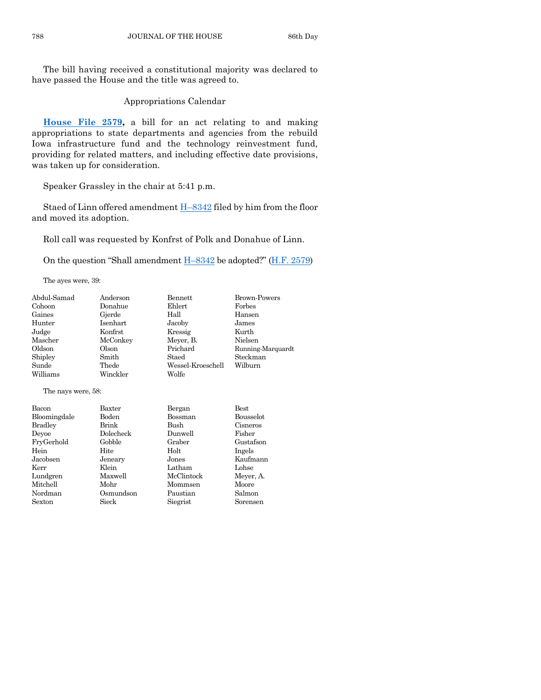The bill having received a constitutional majority was declared to have passed the House and the title was agreed to.

Appropriations Calendar

**[House File 2579,](https://www.legis.iowa.gov/legislation/BillBook?ga=89&ba=HF2579)** a bill for an act relating to and making appropriations to state departments and agencies from the rebuild Iowa infrastructure fund and the technology reinvestment fund, providing for related matters, and including effective date provisions, was taken up for consideration.

Speaker Grassley in the chair at 5:41 p.m.

Staed of Linn offered amendment H–[8342](https://www.legis.iowa.gov/legislation/BillBook?ga=89&ba=H8342) filed by him from the floor and moved its adoption.

Roll call was requested by Konfrst of Polk and Donahue of Linn.

On the question "Shall amendment  $H-8342$  $H-8342$  be adopted?" ([H.F. 2579\)](https://www.legis.iowa.gov/legislation/BillBook?ga=89&ba=HF2579)

The ayes were, 39:

| Abdul-Samad        | Anderson  | Bennett           | <b>Brown-Powers</b> |
|--------------------|-----------|-------------------|---------------------|
| Cohoon             | Donahue   | Ehlert            | Forbes              |
| Gaines             | Gjerde    | Hall              | Hansen              |
| Hunter             | Isenhart  | Jacoby            | James               |
| Judge              | Konfrst   | Kressig           | Kurth               |
| Mascher            | McConkey  | Meyer, B.         | Nielsen             |
| Oldson             | Olson     | Prichard          | Running-Marquardt   |
| Shipley            | Smith     | Staed             | Steckman            |
| Sunde              | Thede     | Wessel-Kroeschell | Wilburn             |
| Williams           | Winckler  | Wolfe             |                     |
| The nays were, 58: |           |                   |                     |
| Bacon              | Baxter    | Bergan            | <b>Best</b>         |
| Bloomingdale       | Boden     | Bossman           | <b>Bousselot</b>    |
| <b>Bradley</b>     | Brink     | Bush              | Cisneros            |
| Deyoe              | Dolecheck | Dunwell           | Fisher              |
| FryGerhold         | Gobble    | Graber            | Gustafson           |
| Hein               | Hite      | Holt              | Ingels              |
| Jacobsen           | Jeneary   | Jones             | Kaufmann            |
| Kerr               | Klein     | Latham            | Lohse               |
| Lundgren           | Maxwell   | McClintock        | Meyer, A.           |
| Mitchell           | Mohr      | Mommsen           | Moore               |
| Nordman            | Osmundson | Paustian          | Salmon              |
| Sexton             | Sieck     | Siegrist          | Sorensen            |
|                    |           |                   |                     |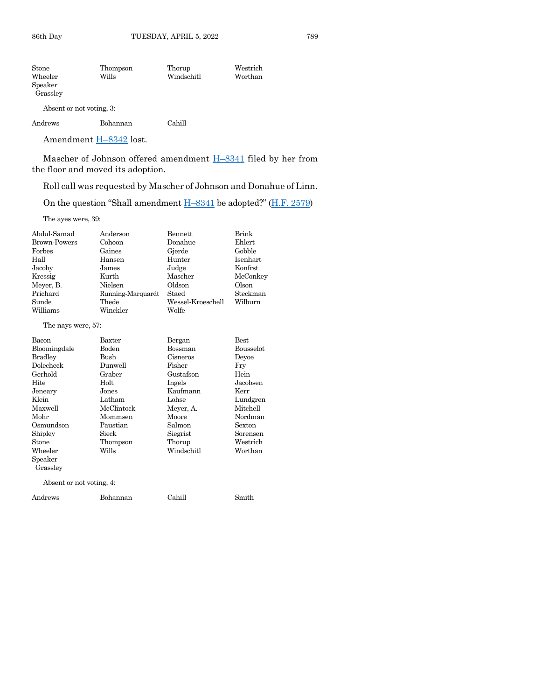| Stone                    | Thompson | Thorup     | Westrich |
|--------------------------|----------|------------|----------|
| Wheeler                  | Wills    | Windschitl | Worthan  |
| Speaker                  |          |            |          |
| Grassley                 |          |            |          |
| Absent or not voting, 3: |          |            |          |

| Andrews | Bohannan | Cahill |
|---------|----------|--------|
|         |          |        |

Amendment **H**-[8342](https://www.legis.iowa.gov/legislation/BillBook?ga=89&ba=H8342) lost.

Mascher of Johnson offered amendment **H**–[8341](https://www.legis.iowa.gov/legislation/BillBook?ga=89&ba=H8341) filed by her from the floor and moved its adoption.

Roll call was requested by Mascher of Johnson and Donahue of Linn.

On the question "Shall amendment  $H-8341$  $H-8341$  be adopted?" ( $H.F. 2579$ )

The ayes were, 39:

| Abdul-Samad              | Anderson          | <b>Bennett</b>    | Brink            |
|--------------------------|-------------------|-------------------|------------------|
| <b>Brown-Powers</b>      | Cohoon            | Donahue           | Ehlert           |
| Forbes                   | Gaines            | Gjerde            | Gobble           |
| Hall                     | Hansen            | Hunter            | Isenhart         |
| Jacoby                   | James             | Judge             | Konfrst          |
| Kressig                  | Kurth             | Mascher           | McConkey         |
| Meyer, B.                | Nielsen           | Oldson            | Olson            |
| Prichard                 | Running-Marquardt | Staed             | Steckman         |
| Sunde                    | Thede             | Wessel-Kroeschell | Wilburn          |
| Williams                 | Winckler          | Wolfe             |                  |
| The nays were, 57:       |                   |                   |                  |
| Bacon                    | Baxter            | Bergan            | <b>Best</b>      |
| Bloomingdale             | <b>Boden</b>      | Bossman           | <b>Bousselot</b> |
| <b>Bradley</b>           | <b>Bush</b>       | Cisneros          | Devoe            |
| Dolecheck                | Dunwell           | Fisher            | Fry              |
| Gerhold                  | Graber            | Gustafson         | Hein             |
| Hite                     | Holt              | Ingels            | Jacobsen         |
| Jeneary                  | Jones             | Kaufmann          | Kerr             |
| Klein                    | Latham            | Lohse             | Lundgren         |
| Maxwell                  | McClintock        | Meyer, A.         | Mitchell         |
| Mohr                     | Mommsen           | Moore             | Nordman          |
| Osmundson                | Paustian          | Salmon            | Sexton           |
| Shipley                  | Sieck             | Siegrist          | Sorensen         |
| Stone                    | Thompson          | Thorup            | Westrich         |
| Wheeler                  | Wills             | Windschitl        | Worthan          |
| Speaker<br>Grassley      |                   |                   |                  |
| Absent or not voting, 4: |                   |                   |                  |
| Andrews                  | Bohannan          | Cahill            | Smith            |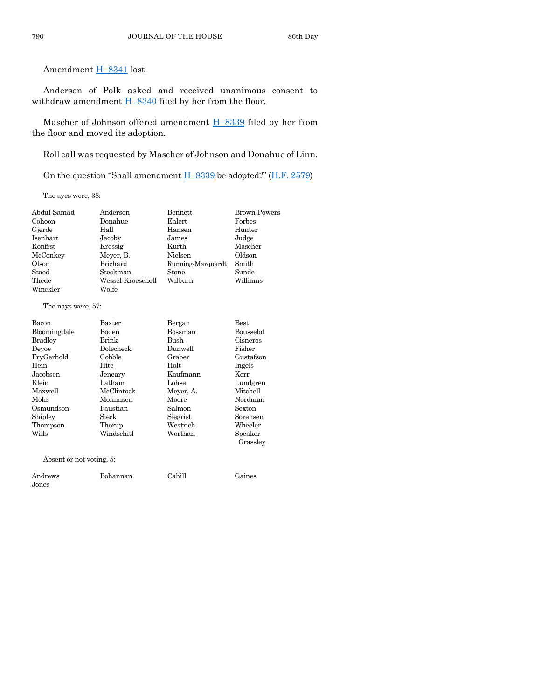Amendment H–[8341](https://www.legis.iowa.gov/legislation/BillBook?ga=89&ba=H8341) lost.

Anderson of Polk asked and received unanimous consent to withdraw amendment  $H-8340$  $H-8340$  filed by her from the floor.

Mascher of Johnson offered amendment H–[8339](https://www.legis.iowa.gov/legislation/BillBook?ga=89&ba=H8339) filed by her from the floor and moved its adoption.

Roll call was requested by Mascher of Johnson and Donahue of Linn.

On the question "Shall amendment H–[8339](https://www.legis.iowa.gov/legislation/BillBook?ga=89&ba=H8339) be adopted?" ([H.F. 2579\)](https://www.legis.iowa.gov/legislation/BillBook?ga=89&ba=HF2579)

The ayes were, 38:

| Abdul-Samad | Anderson          | Bennett           | <b>Brown-Powers</b> |
|-------------|-------------------|-------------------|---------------------|
| Cohoon      | Donahue           | Ehlert            | Forbes              |
| Gjerde      | Hall              | Hansen            | Hunter              |
| Isenhart    | Jacoby            | James             | Judge               |
| Konfrst     | Kressig           | Kurth             | Mascher             |
| McConkey    | Meyer, B.         | Nielsen           | Oldson              |
| Olson       | Prichard          | Running-Marquardt | Smith               |
| Staed       | Steckman          | Stone             | Sunde               |
| Thede       | Wessel-Kroeschell | Wilburn           | Williams            |
| Winckler    | Wolfe             |                   |                     |

#### The nays were, 57:

Jones

| Bacon                    | Baxter     | Bergan    | <b>Best</b> |
|--------------------------|------------|-----------|-------------|
| Bloomingdale             | Boden      | Bossman   | Bousselot   |
| Bradley                  | Brink      | Bush      | Cisneros    |
| Devoe                    | Dolecheck  | Dunwell   | Fisher      |
| FryGerhold               | Gobble     | Graber    | Gustafson   |
| Hein                     | Hite       | Holt      | Ingels      |
| Jacobsen                 | Jeneary    | Kaufmann  | Kerr        |
| Klein                    | Latham     | Lohse     | Lundgren    |
| Maxwell                  | McClintock | Meyer, A. | Mitchell    |
| Mohr                     | Mommsen    | Moore     | Nordman     |
| Osmundson                | Paustian   | Salmon    | Sexton      |
| Shipley                  | Sieck      | Siegrist  | Sorensen    |
| Thompson                 | Thorup     | Westrich  | Wheeler     |
| Wills                    | Windschitl | Worthan   | Speaker     |
|                          |            |           | Grassley    |
| Absent or not voting, 5: |            |           |             |
| Andrews                  | Bohannan   | Cahill    | Gaines      |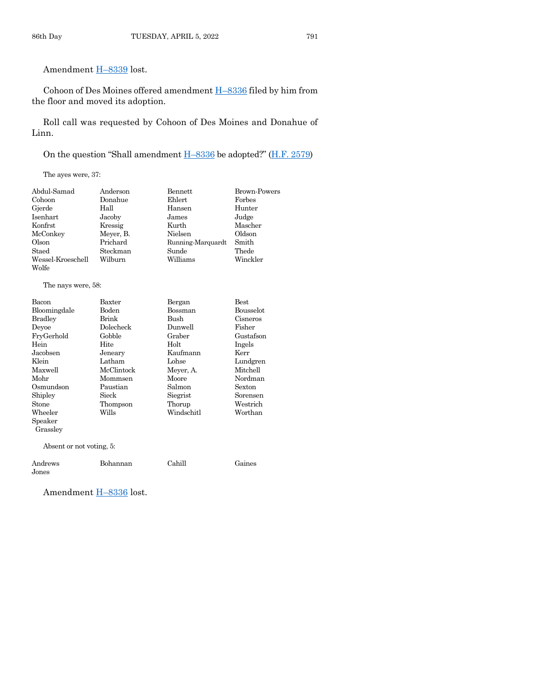Amendment H–[8339](https://www.legis.iowa.gov/legislation/BillBook?ga=89&ba=H8339) lost.

Cohoon of Des Moines offered amendment H–[8336](https://www.legis.iowa.gov/legislation/BillBook?ga=89&ba=H8336) filed by him from the floor and moved its adoption.

Roll call was requested by Cohoon of Des Moines and Donahue of Linn.

On the question "Shall amendment H–[8336](https://www.legis.iowa.gov/legislation/BillBook?ga=89&ba=H8336) be adopted?" ([H.F. 2579\)](https://www.legis.iowa.gov/legislation/BillBook?ga=89&ba=HF2579)

The ayes were, 37:

| Abdul-Samad        | Anderson  | <b>Bennett</b>    | <b>Brown-Powers</b> |
|--------------------|-----------|-------------------|---------------------|
| Cohoon             | Donahue   | Ehlert            | Forbes              |
| Gjerde             | Hall      | Hansen            | Hunter              |
| Isenhart.          | Jacoby    | James             | Judge               |
| Konfrst            | Kressig   | Kurth             | Mascher             |
| McConkey           | Meyer, B. | Nielsen           | Oldson              |
| Olson              | Prichard  | Running-Marquardt | Smith               |
| Staed              | Steckman  | Sunde             | Thede               |
| Wessel-Kroeschell  | Wilburn   | Williams          | Winckler            |
| Wolfe              |           |                   |                     |
| The nays were, 58: |           |                   |                     |
| Bacon              | Baxter    | Bergan            | <b>Best</b>         |
| Bloomingdale       | Boden     | Bossman           | Bousselot           |
| Bradley            | Brink     | Bush              | Cisneros            |

| <b>Bradley</b>           | Brink      | Bush       | Cisneros  |
|--------------------------|------------|------------|-----------|
| Devoe                    | Dolecheck  | Dunwell    | Fisher    |
| FryGerhold               | Gobble     | Graber     | Gustafson |
| Hein                     | Hite       | Holt       | Ingels    |
| Jacobsen                 | Jeneary    | Kaufmann   | Kerr      |
| Klein                    | Latham     | Lohse      | Lundgren  |
| Maxwell                  | McClintock | Meyer, A.  | Mitchell  |
| Mohr                     | Mommsen    | Moore      | Nordman   |
| Osmundson                | Paustian   | Salmon     | Sexton    |
| Shipley                  | Sieck      | Siegrist   | Sorensen  |
| Stone                    | Thompson   | Thorup     | Westrich  |
| Wheeler                  | Wills      | Windschitl | Worthan   |
| Speaker                  |            |            |           |
| Grassley                 |            |            |           |
| Absent or not voting, 5: |            |            |           |
| Andrews<br>Jones         | Bohannan   | Cahill     | Gaines    |

Amendment **H-[8336](https://www.legis.iowa.gov/legislation/BillBook?ga=89&ba=H8336)** lost.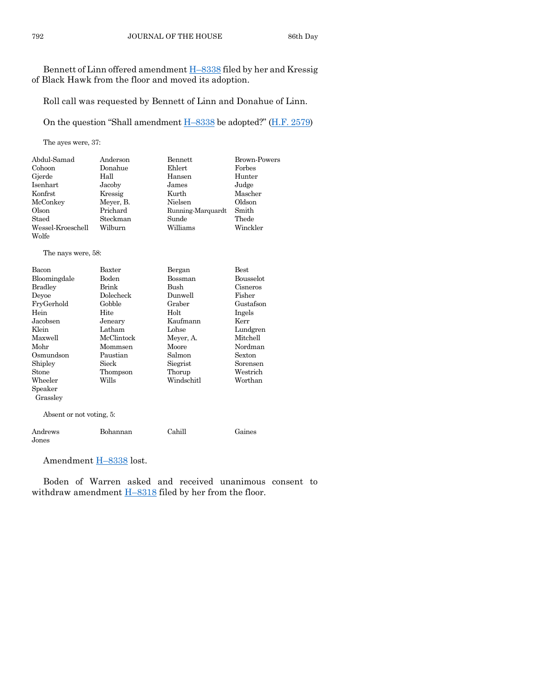Bennett of Linn offered amendment H–[8338](https://www.legis.iowa.gov/legislation/BillBook?ga=89&ba=H8338) filed by her and Kressig of Black Hawk from the floor and moved its adoption.

Roll call was requested by Bennett of Linn and Donahue of Linn.

On the question "Shall amendment H–[8338](https://www.legis.iowa.gov/legislation/BillBook?ga=89&ba=H8338) be adopted?" [\(H.F. 2579\)](https://www.legis.iowa.gov/legislation/BillBook?ga=89&ba=HF2579)

The ayes were, 37:

| Abdul-Samad       | Anderson  | Bennett           | <b>Brown-Powers</b> |
|-------------------|-----------|-------------------|---------------------|
| Cohoon            | Donahue   | Ehlert            | Forbes              |
| Gjerde            | Hall      | Hansen            | Hunter              |
| Isenhart          | Jacoby    | James             | Judge               |
| Konfrst           | Kressig   | Kurth             | Mascher             |
| McConkey          | Meyer, B. | Nielsen           | Oldson              |
| Olson             | Prichard  | Running-Marquardt | Smith               |
| Staed             | Steckman  | Sunde             | Thede               |
| Wessel-Kroeschell | Wilburn   | Williams          | Winckler            |
| Wolfe             |           |                   |                     |

The nays were, 58:

| Bacon                    | Baxter     | Bergan     | Best             |  |
|--------------------------|------------|------------|------------------|--|
| Bloomingdale             | Boden      | Bossman    | <b>Bousselot</b> |  |
| <b>Bradley</b>           | Brink      | Bush       | Cisneros         |  |
| Deyoe                    | Dolecheck  | Dunwell    | Fisher           |  |
| FryGerhold               | Gobble     | Graber     | Gustafson        |  |
| Hein                     | Hite       | Holt       | Ingels           |  |
| Jacobsen                 | Jeneary    | Kaufmann   | Kerr             |  |
| Klein                    | Latham     | Lohse      | Lundgren         |  |
| Maxwell                  | McClintock | Meyer, A.  | Mitchell         |  |
| Mohr                     | Mommsen    | Moore      | Nordman          |  |
| Osmundson                | Paustian   | Salmon     | Sexton           |  |
| Shipley                  | Sieck      | Siegrist   | Sorensen         |  |
| Stone                    | Thompson   | Thorup     | Westrich         |  |
| Wheeler                  | Wills      | Windschitl | Worthan          |  |
| Speaker                  |            |            |                  |  |
| Grassley                 |            |            |                  |  |
| Absent or not voting, 5: |            |            |                  |  |

Andrews Bohannan Cahill Gaines Jones

Amendment **H-[8338](https://www.legis.iowa.gov/legislation/BillBook?ga=89&ba=H8338)** lost.

Boden of Warren asked and received unanimous consent to withdraw amendment  $H-8318$  $H-8318$  filed by her from the floor.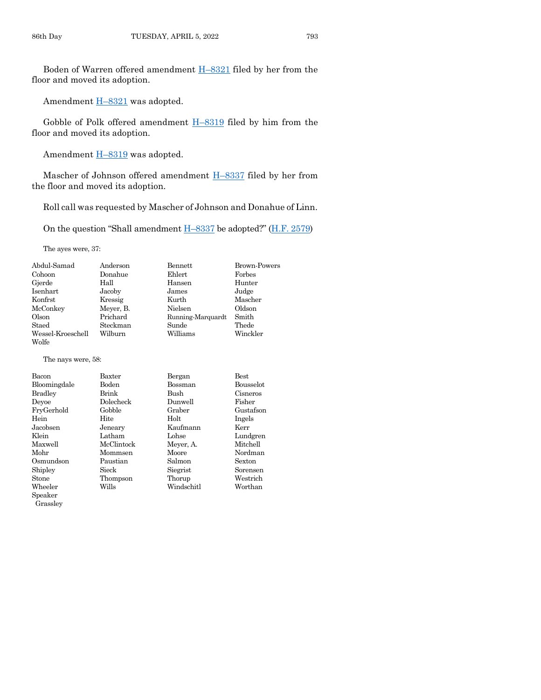Boden of Warren offered amendment H–[8321](https://www.legis.iowa.gov/legislation/BillBook?ga=89&ba=H8321) filed by her from the floor and moved its adoption.

Amendment **H**-[8321](https://www.legis.iowa.gov/legislation/BillBook?ga=89&ba=H8321) was adopted.

Gobble of Polk offered amendment H–[8319](https://www.legis.iowa.gov/legislation/BillBook?ga=89&ba=H8319) filed by him from the floor and moved its adoption.

Amendment **H**-[8319](https://www.legis.iowa.gov/legislation/BillBook?ga=89&ba=H8319) was adopted.

Mascher of Johnson offered amendment H–[8337](https://www.legis.iowa.gov/legislation/BillBook?ga=89&ba=H8337) filed by her from the floor and moved its adoption.

Roll call was requested by Mascher of Johnson and Donahue of Linn.

On the question "Shall amendment H–[8337](https://www.legis.iowa.gov/legislation/BillBook?ga=89&ba=H8337) be adopted?" ([H.F. 2579\)](https://www.legis.iowa.gov/legislation/BillBook?ga=89&ba=HF2579)

The ayes were, 37:

| Abdul-Samad       | Anderson  | Bennett           | <b>Brown-Powers</b> |
|-------------------|-----------|-------------------|---------------------|
| Cohoon            | Donahue   | Ehlert            | Forbes              |
| Gjerde            | Hall      | Hansen            | Hunter              |
| Isenhart          | Jacoby    | James             | Judge               |
| Konfrst           | Kressig   | Kurth             | Mascher             |
| McConkey          | Meyer, B. | Nielsen           | Oldson              |
| Olson             | Prichard  | Running-Marquardt | Smith               |
| Staed             | Steckman  | Sunde             | Thede               |
| Wessel-Kroeschell | Wilburn   | Williams          | Winckler            |
| Wolfe             |           |                   |                     |
|                   |           |                   |                     |

The nays were, 58:

| Bacon        | Baxter     | Bergan     | <b>Best</b>      |
|--------------|------------|------------|------------------|
| Bloomingdale | Boden      | Bossman    | <b>Bousselot</b> |
| Bradley      | Brink      | Bush       | Cisneros         |
| Deyoe        | Dolecheck  | Dunwell    | Fisher           |
| FrvGerhold   | Gobble     | Graber     | Gustafson        |
| Hein         | Hite       | Holt       | Ingels           |
| Jacobsen     | Jeneary    | Kaufmann   | Kerr             |
| Klein        | Latham     | Lohse      | Lundgren         |
| Maxwell      | McClintock | Meyer, A.  | Mitchell         |
| Mohr         | Mommsen    | Moore      | Nordman          |
| Osmundson    | Paustian   | Salmon     | Sexton           |
| Shipley      | Sieck      | Siegrist   | Sorensen         |
| Stone        | Thompson   | Thorup     | Westrich         |
| Wheeler      | Wills      | Windschitl | Worthan          |
| $S$ peaker   |            |            |                  |

Grassley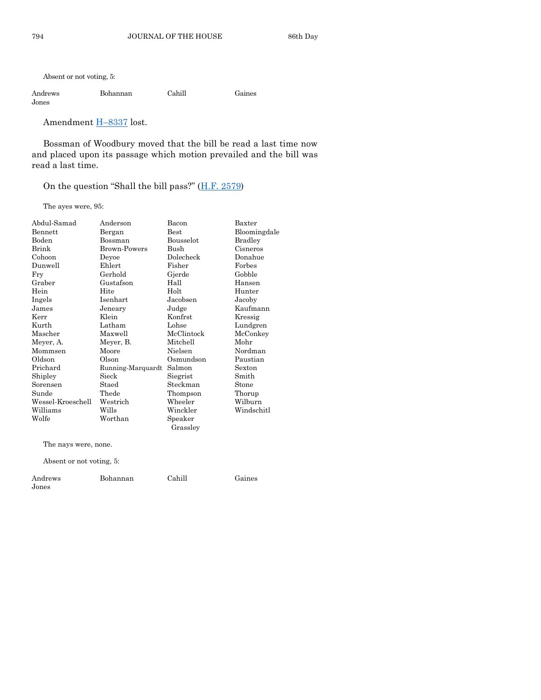Absent or not voting, 5:

| Andrews | Bohannan | Cahill | Gaines |
|---------|----------|--------|--------|
| Jones   |          |        |        |

Amendment H–[8337](https://www.legis.iowa.gov/legislation/BillBook?ga=89&ba=H8337) lost.

Bossman of Woodbury moved that the bill be read a last time now and placed upon its passage which motion prevailed and the bill was read a last time.

On the question "Shall the bill pass?" ([H.F. 2579\)](https://www.legis.iowa.gov/legislation/BillBook?ga=89&ba=HF2579)

The ayes were, 95:

| Abdul-Samad          | Anderson          | Bacon      | Baxter         |
|----------------------|-------------------|------------|----------------|
| Bennett              | Bergan            | Best       | Bloomingdale   |
| Boden                | Bossman           | Bousselot  | <b>Bradley</b> |
| Brink                | Brown-Powers      | Bush       | Cisneros       |
| Cohoon               | Devoe             | Dolecheck  | Donahue        |
| Dunwell              | Ehlert            | Fisher     | Forbes         |
| Fry                  | Gerhold           | Gjerde     | Gobble         |
| Graber               | Gustafson         | Hall       | Hansen         |
| Hein                 | Hite              | Holt       | Hunter         |
| Ingels               | <b>Isenhart</b>   | Jacobsen   | Jacoby         |
| James                | Jeneary           | Judge      | Kaufmann       |
| Kerr                 | Klein             | Konfrst    | Kressig        |
| Kurth                | Latham            | Lohse      | Lundgren       |
| Mascher              | Maxwell           | McClintock | McConkey       |
| Meyer, A.            | Meyer, B.         | Mitchell   | Mohr           |
| Mommsen              | Moore             | Nielsen    | Nordman        |
| Oldson               | Olson             | Osmundson  | Paustian       |
| Prichard             | Running-Marquardt | Salmon     | Sexton         |
| Shipley              | Sieck             | Siegrist   | Smith          |
| Sorensen             | Staed             | Steckman   | Stone          |
| Sunde                | Thede             | Thompson   | Thorup         |
| Wessel-Kroeschell    | Westrich          | Wheeler    | Wilburn        |
| Williams             | Wills             | Winckler   | Windschitl     |
| Wolfe                | Worthan           | Speaker    |                |
|                      |                   | Grassley   |                |
| The nays were, none. |                   |            |                |

Absent or not voting, 5:

| Andrews | Bohannan | Cahill | Gaines |
|---------|----------|--------|--------|
| Jones   |          |        |        |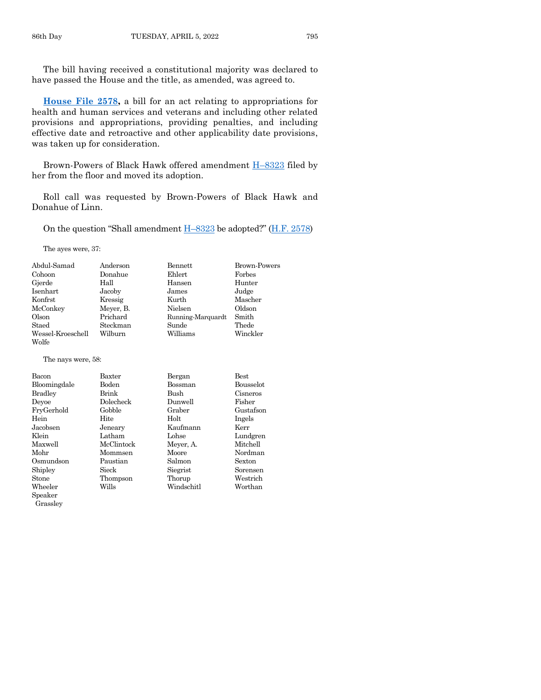The bill having received a constitutional majority was declared to have passed the House and the title, as amended, was agreed to.

**[House File 2578,](https://www.legis.iowa.gov/legislation/BillBook?ga=89&ba=HF2578)** a bill for an act relating to appropriations for health and human services and veterans and including other related provisions and appropriations, providing penalties, and including effective date and retroactive and other applicability date provisions, was taken up for consideration.

Brown-Powers of Black Hawk offered amendment H–[8323](https://www.legis.iowa.gov/legislation/BillBook?ga=89&ba=H8323) filed by her from the floor and moved its adoption.

Roll call was requested by Brown-Powers of Black Hawk and Donahue of Linn.

On the question "Shall amendment H–[8323](https://www.legis.iowa.gov/legislation/BillBook?ga=89&ba=H8323) be adopted?" ([H.F. 2578\)](https://www.legis.iowa.gov/legislation/BillBook?ga=89&ba=HF2578)

The ayes were, 37:

| Abdul-Samad                | Anderson  | Bennett           | <b>Brown-Powers</b> |
|----------------------------|-----------|-------------------|---------------------|
| Cohoon                     | Donahue   | Ehlert            | Forbes              |
| Gjerde                     | Hall      | Hansen            | Hunter              |
| Isenhart                   | Jacoby    | James             | Judge               |
| Konfrst                    | Kressig   | Kurth             | Mascher             |
| McConkey                   | Meyer, B. | Nielsen           | Oldson              |
| Olson                      | Prichard  | Running-Marquardt | Smith               |
| Staed                      | Steckman  | Sunde             | Thede               |
| Wessel-Kroeschell<br>Wolfe | Wilburn   | Williams          | Winckler            |

The nays were, 58:

| <b>Bacon</b>   | Baxter       | Bergan         | <b>Best</b>      |
|----------------|--------------|----------------|------------------|
| Bloomingdale   | <b>Boden</b> | <b>Bossman</b> | <b>Bousselot</b> |
| <b>Bradley</b> | Brink        | Bush           | Cisneros         |
| Devoe          | Dolecheck    | Dunwell        | Fisher           |
| FryGerhold     | Gobble       | Graber         | Gustafson        |
| Hein           | Hite         | Holt           | Ingels           |
| Jacobsen       | Jeneary      | Kaufmann       | Kerr             |
| Klein          | Latham       | Lohse          | Lundgren         |
| Maxwell        | McClintock   | Meyer, A.      | Mitchell         |
| Mohr           | Mommsen      | Moore          | Nordman          |
| Osmundson      | Paustian     | Salmon         | Sexton           |
| Shipley        | Sieck        | Siegrist       | Sorensen         |
| Stone          | Thompson     | Thorup         | Westrich         |
| Wheeler        | Wills        | Windschitl     | Worthan          |
| Speaker        |              |                |                  |

Grassley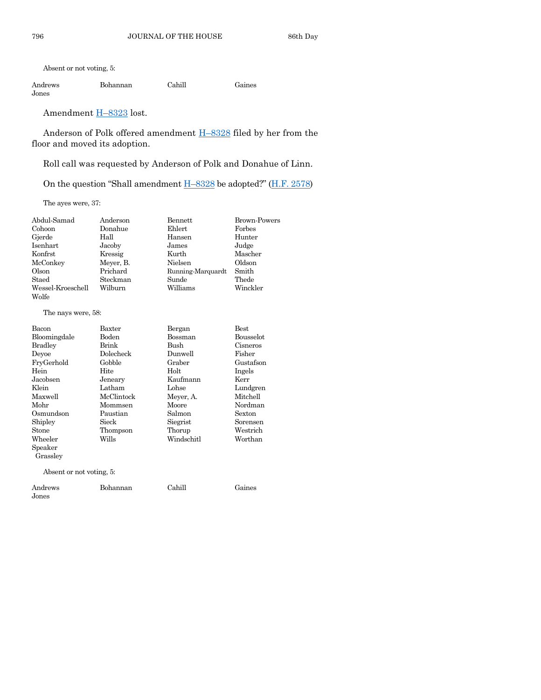Absent or not voting, 5:

| Andrews | Bohannan | Cahill | Gaines |
|---------|----------|--------|--------|
| Jones   |          |        |        |

## Amendment H–[8323](https://www.legis.iowa.gov/legislation/BillBook?ga=89&ba=H8323) lost.

Anderson of Polk offered amendment H–[8328](https://www.legis.iowa.gov/legislation/BillBook?ga=89&ba=H8328) filed by her from the floor and moved its adoption.

Roll call was requested by Anderson of Polk and Donahue of Linn.

On the question "Shall amendment  $H$ –[8328](https://www.legis.iowa.gov/legislation/BillBook?ga=89&ba=H8328) be adopted?" ( $H.F. 2578$ )

The ayes were, 37:

| Abdul-Samad        | Anderson   | <b>Bennett</b>    | <b>Brown-Powers</b> |
|--------------------|------------|-------------------|---------------------|
| Cohoon             | Donahue    | Ehlert            | Forbes              |
| Gjerde             | Hall       | Hansen            | Hunter              |
| <b>Isenhart</b>    | Jacoby     | James             | Judge               |
| Konfrst            | Kressig    | Kurth             | Mascher             |
| McConkey           | Meyer, B.  | Nielsen           | Oldson              |
| Olson              | Prichard   | Running-Marquardt | Smith               |
| Staed              | Steckman   | Sunde             | Thede               |
| Wessel-Kroeschell  | Wilburn    | Williams          | Winckler            |
| Wolfe              |            |                   |                     |
| The nays were, 58: |            |                   |                     |
| Bacon              | Baxter     | Bergan            | <b>Best</b>         |
| Bloomingdale       | Boden      | Bossman           | <b>Bousselot</b>    |
| <b>Bradley</b>     | Brink      | Bush              | Cisneros            |
| Devoe              | Dolecheck  | Dunwell           | Fisher              |
| FryGerhold         | Gobble     | Graber            | Gustafson           |
| Hein               | Hite       | Holt              | Ingels              |
| Jacobsen           | Jeneary    | Kaufmann          | Kerr                |
| Klein              | Latham     | Lohse             | Lundgren            |
| Maxwell            | McClintock | Meyer, A.         | Mitchell            |
| Mohr               | Mommsen    | Moore             | Nordman             |
| Osmundson          | Paustian   | Salmon            | Sexton              |
| Shipley            | Sieck      | Siegrist          | Sorensen            |
| Stone              | Thompson   | Thorup            | Westrich            |
| Wheeler            | Wills      | Windschitl        | Worthan             |

Absent or not voting, 5:

Speaker Grassley

| Andrews | Bohannan | Cahill | Gaines |
|---------|----------|--------|--------|
| Jones   |          |        |        |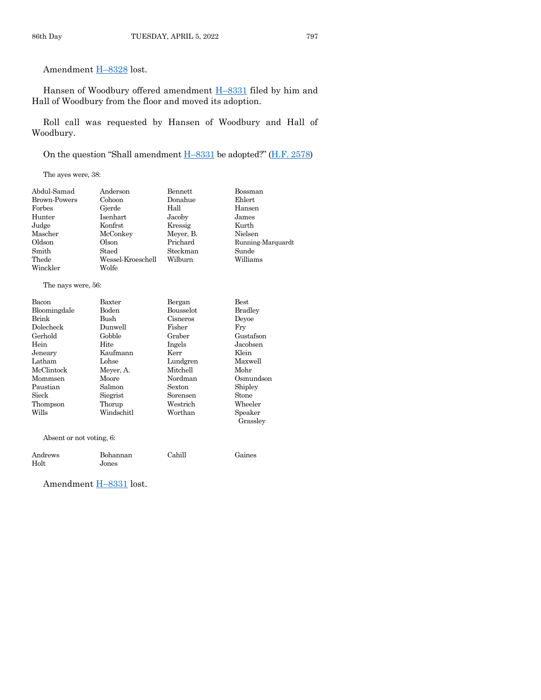Amendment H–[8328](https://www.legis.iowa.gov/legislation/BillBook?ga=89&ba=H8328) lost.

Hansen of Woodbury offered amendment **H**-[8331](https://www.legis.iowa.gov/legislation/BillBook?ga=89&ba=H8331) filed by him and Hall of Woodbury from the floor and moved its adoption.

Roll call was requested by Hansen of Woodbury and Hall of Woodbury.

On the question "Shall amendment H–[8331](https://www.legis.iowa.gov/legislation/BillBook?ga=89&ba=H8331) be adopted?" ([H.F. 2578\)](https://www.legis.iowa.gov/legislation/BillBook?ga=89&ba=HF2578)

The ayes were, 38:

| Abdul-Samad         | Anderson          | Bennett   | Bossman           |
|---------------------|-------------------|-----------|-------------------|
| <b>Brown-Powers</b> | Cohoon            | Donahue   | Ehlert            |
| Forbes              | Gjerde            | Hall      | Hansen            |
| Hunter              | Isenhart          | Jacoby    | James             |
| Judge               | Konfrst           | Kressig   | Kurth             |
| Mascher             | McConkey          | Meyer, B. | Nielsen           |
| Oldson              | Olson             | Prichard  | Running-Marquardt |
| Smith               | Staed             | Steckman  | Sunde             |
| Thede               | Wessel-Kroeschell | Wilburn   | Williams          |
| Winckler            | Wolfe             |           |                   |
|                     |                   |           |                   |

The nays were, 56:

| <b>Bacon</b>             | Baxter     | Bergan           | <b>Best</b>         |
|--------------------------|------------|------------------|---------------------|
| Bloomingdale             | Boden      | <b>Bousselot</b> | <b>Bradley</b>      |
| Brink                    | Bush       | Cisneros         | Devoe               |
| Dolecheck                | Dunwell    | Fisher           | Fry                 |
| Gerhold                  | Gobble     | Graber           | Gustafson           |
| Hein                     | Hite       | Ingels           | Jacobsen            |
| Jeneary                  | Kaufmann   | Kerr             | Klein               |
| Latham                   | Lohse      | Lundgren         | Maxwell             |
| McClintock               | Meyer, A.  | Mitchell         | Mohr                |
| Mommsen                  | Moore      | Nordman          | Osmundson           |
| Paustian                 | Salmon     | Sexton           | Shipley             |
| Sieck                    | Siegrist   | Sorensen         | Stone               |
| Thompson                 | Thorup     | Westrich         | Wheeler             |
| Wills                    | Windschitl | Worthan          | Speaker<br>Grassley |
| Absent or not voting, 6: |            |                  |                     |
|                          |            |                  |                     |

| Andrews       | Bohannan | Cahill | Gaines |
|---------------|----------|--------|--------|
| $_{\rm Holt}$ | Jones    |        |        |

Amendment H–[8331](https://www.legis.iowa.gov/legislation/BillBook?ga=89&ba=H8331) lost.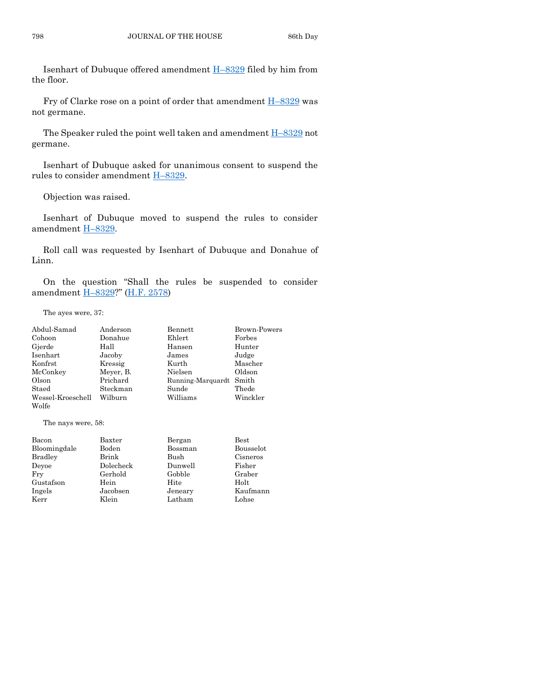Isenhart of Dubuque offered amendment H–[8329](https://www.legis.iowa.gov/legislation/BillBook?ga=89&ba=H8329) filed by him from the floor.

Fry of Clarke rose on a point of order that amendment  $H-8329$  $H-8329$  was not germane.

The Speaker ruled the point well taken and amendment  $H-8329$  $H-8329$  not germane.

Isenhart of Dubuque asked for unanimous consent to suspend the rules to consider amendment H–[8329.](https://www.legis.iowa.gov/legislation/BillBook?ga=89&ba=H8329)

Objection was raised.

Isenhart of Dubuque moved to suspend the rules to consider amendment H–[8329.](https://www.legis.iowa.gov/legislation/BillBook?ga=89&ba=H8329)

Roll call was requested by Isenhart of Dubuque and Donahue of Linn.

On the question "Shall the rules be suspended to consider amendment H–[8329?](https://www.legis.iowa.gov/legislation/BillBook?ga=89&ba=H8329)" [\(H.F. 2578\)](https://www.legis.iowa.gov/legislation/BillBook?ga=89&ba=HF2578)

The ayes were, 37:

| Abdul-Samad       | Anderson  | Bennett                 | Brown-Powers |
|-------------------|-----------|-------------------------|--------------|
| Cohoon            | Donahue   | Ehlert                  | Forbes       |
| Gjerde            | Hall      | Hansen                  | Hunter       |
| Isenhart          | Jacoby    | James                   | Judge        |
| Konfrst           | Kressig   | Kurth                   | Mascher      |
| McConkey          | Meyer, B. | Nielsen                 | Oldson       |
| Olson             | Prichard  | Running-Marquardt Smith |              |
| Staed             | Steckman  | Sunde                   | Thede        |
| Wessel-Kroeschell | Wilburn   | Williams                | Winckler     |
| Wolfe             |           |                         |              |

The nays were, 58:

| Bacon          | Baxter    | Bergan  | <b>Best</b> |
|----------------|-----------|---------|-------------|
| Bloomingdale   | Boden     | Bossman | Bousselot   |
| <b>Bradley</b> | Brink     | Bush    | Cisneros    |
| Devoe          | Dolecheck | Dunwell | Fisher      |
| Fry            | Gerhold   | Gobble  | Graber      |
| Gustafson      | Hein      | Hite    | Holt        |
| Ingels         | Jacobsen  | Jeneary | Kaufmann    |
| Kerr           | Klein     | Latham  | Lohse       |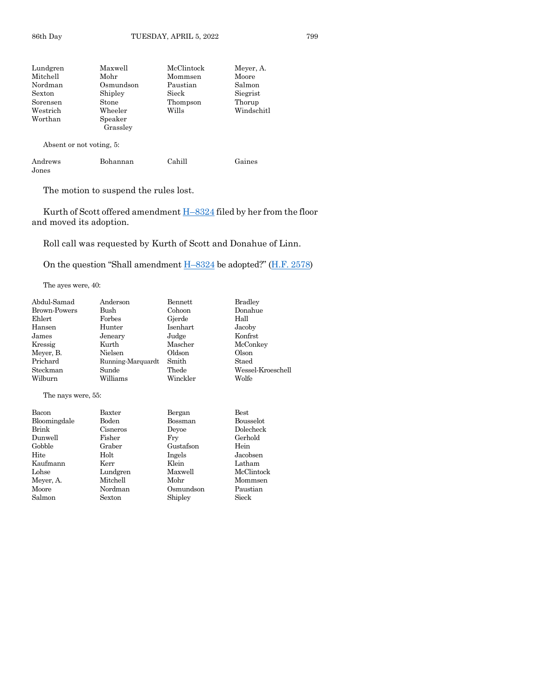| Maxwell   | McClintock | Meyer, A.  |
|-----------|------------|------------|
| Mohr      | Mommsen    | Moore      |
| Osmundson | Paustian   | Salmon     |
| Shipley   | Sieck      | Siegrist   |
| Stone     | Thompson   | Thorup     |
| Wheeler   | Wills      | Windschitl |
| Speaker   |            |            |
| Grassley  |            |            |
|           |            |            |
|           |            |            |

Absent or not voting, 5:

| Andrews       | Bohannan | Cahill | Gaines |
|---------------|----------|--------|--------|
| ${\rm Jones}$ |          |        |        |

The motion to suspend the rules lost.

Kurth of Scott offered amendment H–[8324](https://www.legis.iowa.gov/legislation/BillBook?ga=89&ba=H8324) filed by her from the floor and moved its adoption.

Roll call was requested by Kurth of Scott and Donahue of Linn.

On the question "Shall amendment H–[8324](https://www.legis.iowa.gov/legislation/BillBook?ga=89&ba=H8324) be adopted?" ([H.F. 2578\)](https://www.legis.iowa.gov/legislation/BillBook?ga=89&ba=HF2578)

The ayes were, 40:

| Abdul-Samad         | Anderson          | Bennett   | <b>Bradley</b>    |
|---------------------|-------------------|-----------|-------------------|
| <b>Brown-Powers</b> | Bush              | Cohoon    | Donahue           |
| Ehlert              | Forbes            | Gjerde    | Hall              |
| Hansen              | Hunter            | Isenhart  | Jacoby            |
| James               | Jeneary           | Judge     | Konfrst           |
| Kressig             | Kurth             | Mascher   | McConkey          |
| Meyer, B.           | Nielsen           | Oldson    | Olson             |
| Prichard            | Running-Marquardt | Smith     | Staed             |
| Steckman            | Sunde             | Thede     | Wessel-Kroeschell |
| Wilburn             | Williams          | Winckler  | Wolfe             |
| The nays were, 55:  |                   |           |                   |
| Bacon               | Baxter            | Bergan    | Best              |
| Bloomingdale        | Boden             | Bossman   | Bousselot         |
| Brink               | Cisneros          | Deyoe     | Dolecheck         |
| Dunwell             | Fisher            | Fry       | Gerhold           |
| Gobble              | Graber            | Gustafson | Hein              |
| Hite                | Holt              | Ingels    | Jacobsen          |
| Kaufmann            | Kerr              | Klein     | Latham            |
| Lohse               | Lundgren          | Maxwell   | McClintock        |
| Meyer, A.           | Mitchell          | Mohr      | Mommsen           |
| Moore               | Nordman           | Osmundson | Paustian          |
| Salmon              | Sexton            | Shipley   | Sieck             |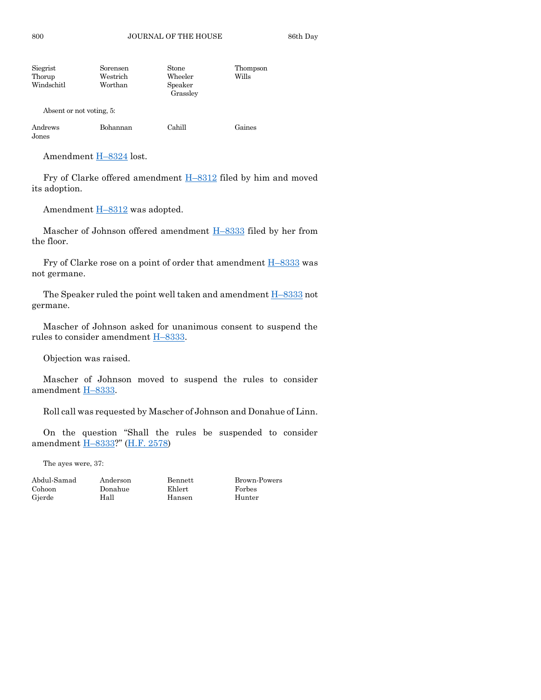| Siegrist<br>Thorup<br>Windschitl | Sorensen<br>Westrich<br>Worthan | Stone<br>Wheeler<br>Speaker | Thompson<br>Wills |
|----------------------------------|---------------------------------|-----------------------------|-------------------|
|                                  |                                 | Grassley                    |                   |
| Absent or not voting, 5:         |                                 |                             |                   |

| Andrews        | Bohannan | Cahill | Gaines |
|----------------|----------|--------|--------|
| $_{\rm Jones}$ |          |        |        |

Amendment H–[8324](https://www.legis.iowa.gov/legislation/BillBook?ga=89&ba=H8324) lost.

Fry of Clarke offered amendment H–[8312](https://www.legis.iowa.gov/legislation/BillBook?ga=89&ba=H8312) filed by him and moved its adoption.

Amendment H–[8312](https://www.legis.iowa.gov/legislation/BillBook?ga=89&ba=H8312) was adopted.

Mascher of Johnson offered amendment H-[8333](https://www.legis.iowa.gov/legislation/BillBook?ga=89&ba=H8333) filed by her from the floor.

Fry of Clarke rose on a point of order that amendment  $H-8333$  $H-8333$  was not germane.

The Speaker ruled the point well taken and amendment  $H-8333$  $H-8333$  not germane.

Mascher of Johnson asked for unanimous consent to suspend the rules to consider amendment H–[8333.](https://www.legis.iowa.gov/legislation/BillBook?ga=89&ba=H8333)

Objection was raised.

Mascher of Johnson moved to suspend the rules to consider amendment H–[8333.](https://www.legis.iowa.gov/legislation/BillBook?ga=89&ba=H8333)

Roll call was requested by Mascher of Johnson and Donahue of Linn.

On the question "Shall the rules be suspended to consider amendment H–[8333?](https://www.legis.iowa.gov/legislation/BillBook?ga=89&ba=H8333)" [\(H.F. 2578\)](https://www.legis.iowa.gov/legislation/BillBook?ga=89&ba=HF2578)

The ayes were, 37:

Cohoon Donahue Ehlert Forbes

Hansen

Abdul-Samad Anderson Bennett Brown-Powers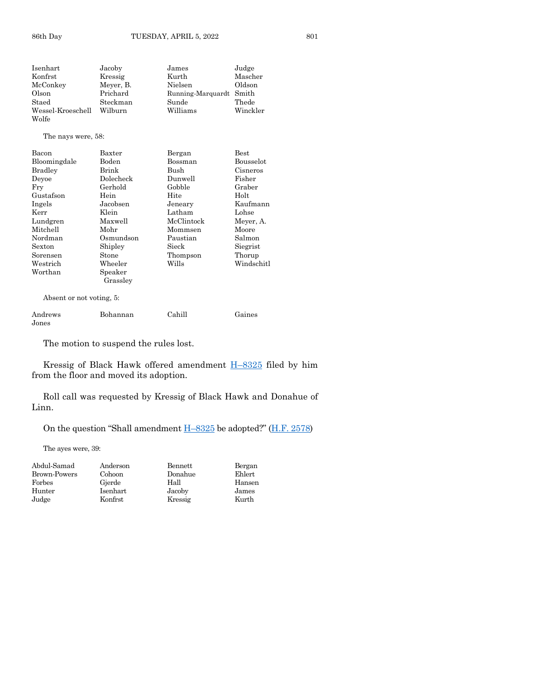| Isenhart           | Jacoby    | James             | Judge       |
|--------------------|-----------|-------------------|-------------|
| Konfrst            | Kressig   | Kurth             | Mascher     |
| McConkey           | Meyer, B. | Nielsen           | Oldson      |
| Olson              | Prichard  | Running-Marquardt | Smith       |
| Staed              | Steckman  | Sunde             | Thede       |
| Wessel-Kroeschell  | Wilburn   | Williams          | Winckler    |
| Wolfe              |           |                   |             |
| The nays were, 58: |           |                   |             |
| Bacon              | Baxter    | Bergan            | <b>Best</b> |
| Bloomingdale       | Boden     | Bossman           | Bousselot   |
| <b>Bradley</b>     | Brink     | Bush              | Cisneros    |
| Deyoe              | Dolecheck | Dunwell           | Fisher      |
| Fry                | Gerhold   | Gobble            | Graber      |
| Gustafson          | Hein      | Hite              | Holt        |
| Ingels             | Jacobsen  | Jeneary           | Kaufmann    |
| Kerr               | Klein     | Latham            | Lohse       |
| Lundgren           | Maxwell   | McClintock        | Meyer, A.   |
| Mitchell           | Mohr      | Mommsen           | Moore       |
| Nordman            | Osmundson | Paustian          | Salmon      |
| Sexton             | Shipley   | Sieck             | Siegrist    |
| Sorensen           | Stone     | Thompson          | Thorup      |
| Westrich           | Wheeler   | Wills             | Windschitl  |
| Worthan            | Speaker   |                   |             |

Absent or not voting, 5:

| Andrews | Bohannan | Cahill | Gaines |
|---------|----------|--------|--------|
| Jones   |          |        |        |

The motion to suspend the rules lost.

Grassley

Kressig of Black Hawk offered amendment H–[8325](https://www.legis.iowa.gov/legislation/BillBook?ga=89&ba=H8325) filed by him from the floor and moved its adoption.

Roll call was requested by Kressig of Black Hawk and Donahue of Linn.

On the question "Shall amendment H–[8325](https://www.legis.iowa.gov/legislation/BillBook?ga=89&ba=H8325) be adopted?" ([H.F. 2578\)](https://www.legis.iowa.gov/legislation/BillBook?ga=89&ba=HF2578)

The ayes were, 39:

| Abdul-Samad  | Anderson | Bennett | Bergan |
|--------------|----------|---------|--------|
| Brown-Powers | Cohoon   | Donahue | Ehlert |
| Forbes       | Gjerde   | Hall    | Hansen |
| Hunter       | Isenhart | Jacoby  | James  |
| Judge        | Konfrst  | Kressig | Kurth  |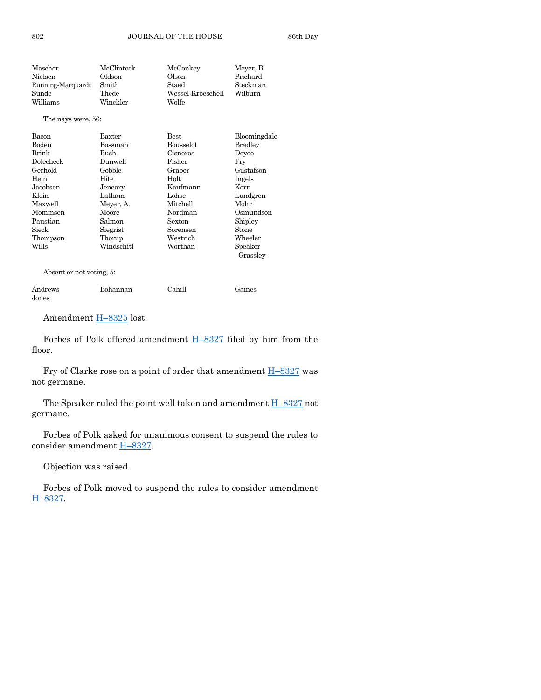| Mascher                                      | McClintock | McConkey          | Meyer, B.           |
|----------------------------------------------|------------|-------------------|---------------------|
| Nielsen                                      | Oldson     | Olson             | Prichard            |
| Running-Marquardt                            | Smith      | Staed             | Steckman            |
| Sunde                                        | Thede      | Wessel-Kroeschell | Wilburn             |
| Williams                                     | Winckler   | Wolfe             |                     |
| The nays were, 56:                           |            |                   |                     |
| Bacon                                        | Baxter     | Best              | Bloomingdale        |
| <b>Boden</b>                                 | Bossman    | <b>Bousselot</b>  | <b>Bradley</b>      |
| <b>Brink</b>                                 | Bush       | Cisneros          | Devoe               |
| Dolecheck                                    | Dunwell    | Fisher            | Fry                 |
| Gerhold                                      | Gobble     | Graber            | Gustafson           |
| Hein                                         | Hite       | Holt              | Ingels              |
| Jacobsen                                     | Jeneary    | Kaufmann          | Kerr                |
| Klein                                        | Latham     | Lohse             | Lundgren            |
| Maxwell                                      | Meyer, A.  | Mitchell          | Mohr                |
| Mommsen                                      | Moore      | Nordman           | Osmundson           |
| Paustian                                     | Salmon     | Sexton            | Shipley             |
| Sieck                                        | Siegrist   | Sorensen          | Stone               |
| Thompson                                     | Thorup     | Westrich          | Wheeler             |
| Wills                                        | Windschitl | Worthan           | Speaker<br>Grassley |
| $\Lambda$ boomt on not voting $\mathbb{Z}$ . |            |                   |                     |

Absent or not voting, 5:

| Andrews | Bohannan | Cahill | Gaines |
|---------|----------|--------|--------|
| Jones   |          |        |        |

Amendment H–[8325](https://www.legis.iowa.gov/legislation/BillBook?ga=89&ba=H8325) lost.

Forbes of Polk offered amendment H–[8327](https://www.legis.iowa.gov/legislation/BillBook?ga=89&ba=H8327) filed by him from the floor.

Fry of Clarke rose on a point of order that amendment H–[8327](https://www.legis.iowa.gov/legislation/BillBook?ga=89&ba=H8327) was not germane.

The Speaker ruled the point well taken and amendment H–[8327](https://www.legis.iowa.gov/legislation/BillBook?ga=89&ba=H8327) not germane.

Forbes of Polk asked for unanimous consent to suspend the rules to consider amendment H–[8327.](https://www.legis.iowa.gov/legislation/BillBook?ga=89&ba=H8327)

Objection was raised.

Forbes of Polk moved to suspend the rules to consider amendment H–[8327.](https://www.legis.iowa.gov/legislation/BillBook?ga=89&ba=H8327)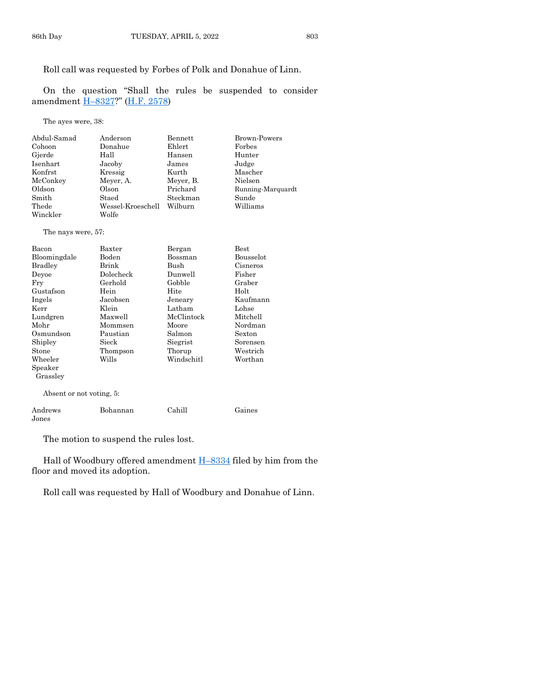Roll call was requested by Forbes of Polk and Donahue of Linn.

On the question "Shall the rules be suspended to consider amendment H–[8327?](https://www.legis.iowa.gov/legislation/BillBook?ga=89&ba=H8327)" [\(H.F. 2578\)](https://www.legis.iowa.gov/legislation/BillBook?ga=89&ba=HF2578)

The ayes were, 38:

| Abdul-Samad | Anderson          | Bennett   | Brown-Powers      |
|-------------|-------------------|-----------|-------------------|
| Cohoon      | Donahue           | Ehlert    | Forbes            |
| Gjerde      | Hall              | Hansen    | Hunter            |
| Isenhart    | Jacoby            | James     | Judge             |
| Konfrst     | Kressig           | Kurth     | Mascher           |
| McConkey    | Meyer, A.         | Meyer, B. | Nielsen           |
| Oldson      | Olson             | Prichard  | Running-Marquardt |
| Smith       | Staed             | Steckman  | Sunde             |
| Thede       | Wessel-Kroeschell | Wilburn   | Williams          |
| Winckler    | Wolfe             |           |                   |

#### The nays were, 57:

| Bacon                    | Baxter    | Bergan     | $_{\rm Best}$    |
|--------------------------|-----------|------------|------------------|
| Bloomingdale             | Boden     | Bossman    | <b>Bousselot</b> |
| Bradley                  | Brink     | Bush       | Cisneros         |
| Devoe                    | Dolecheck | Dunwell    | Fisher           |
| Fry                      | Gerhold   | Gobble     | Graber           |
| Gustafson                | Hein      | Hite       | Holt             |
| Ingels                   | Jacobsen  | Jeneary    | Kaufmann         |
| Kerr                     | Klein     | Latham     | Lohse            |
| Lundgren                 | Maxwell   | McClintock | Mitchell         |
| Mohr                     | Mommsen   | Moore      | Nordman          |
| Osmundson                | Paustian  | Salmon     | Sexton           |
| Shipley                  | Sieck     | Siegrist   | Sorensen         |
| Stone                    | Thompson  | Thorup     | Westrich         |
| Wheeler                  | Wills     | Windschitl | Worthan          |
| Speaker                  |           |            |                  |
| Grassley                 |           |            |                  |
| Absent or not voting, 5: |           |            |                  |
| Andrews                  | Bohannan  | Cahill     | Gaines           |

Jones

The motion to suspend the rules lost.

Hall of Woodbury offered amendment  $H-8334$  $H-8334$  filed by him from the floor and moved its adoption.

Roll call was requested by Hall of Woodbury and Donahue of Linn.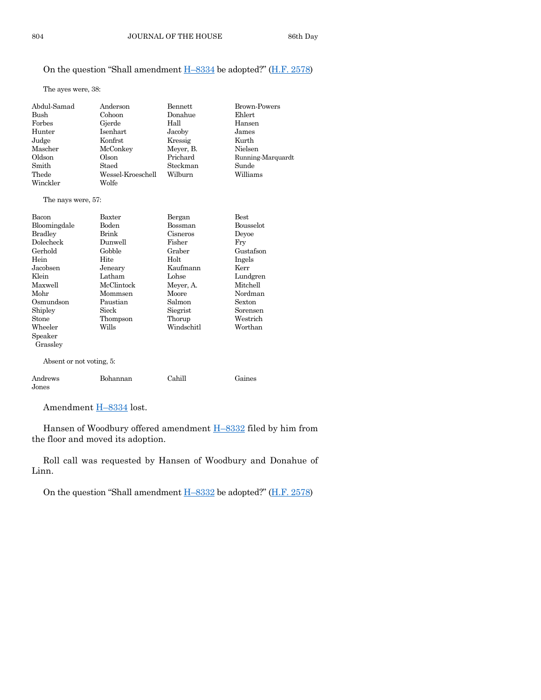# On the question "Shall amendment  $H-8334$  $H-8334$  be adopted?" ( $H.F. 2578$ )

The ayes were, 38:

| Abdul-Samad | Anderson          | Bennett   | <b>Brown-Powers</b> |
|-------------|-------------------|-----------|---------------------|
| Bush        | Cohoon            | Donahue   | Ehlert              |
| Forbes      | Gjerde            | Hall      | Hansen              |
| Hunter      | Isenhart          | Jacoby    | James               |
| Judge       | Konfrst           | Kressig   | Kurth               |
| Mascher     | McConkey          | Meyer, B. | Nielsen             |
| Oldson      | Olson             | Prichard  | Running-Marquardt   |
| Smith       | Staed             | Steckman  | Sunde               |
| Thede       | Wessel-Kroeschell | Wilburn   | Williams            |
| Winckler    | Wolfe             |           |                     |

#### The nays were, 57:

| Bacon<br>Bloomingdale<br><b>Bradley</b><br>Dolecheck<br>Gerhold<br>Hein<br>Jacobsen<br>Klein<br>Maxwell<br>Mohr<br>Osmundson<br>Shipley<br>Stone<br>Wheeler | Baxter<br>Boden<br>Brink<br>Dunwell<br>Gobble<br>Hite<br>Jeneary<br>Latham<br>McClintock<br>Mommsen<br>Paustian<br>Sieck<br>Thompson<br>Wills | Bergan<br>Bossman<br>Cisneros<br>Fisher<br>Graber<br>Holt<br>Kaufmann<br>Lohse<br>Meyer, A.<br>Moore<br>Salmon<br>Siegrist<br>Thorup<br>Windschitl | <b>Best</b><br><b>Bousselot</b><br>Deyoe<br>Fry<br>Gustafson<br>Ingels<br>Kerr<br>Lundgren<br>Mitchell<br>Nordman<br>Sexton<br>Sorensen<br>Westrich<br>Worthan |
|-------------------------------------------------------------------------------------------------------------------------------------------------------------|-----------------------------------------------------------------------------------------------------------------------------------------------|----------------------------------------------------------------------------------------------------------------------------------------------------|----------------------------------------------------------------------------------------------------------------------------------------------------------------|
| Speaker<br>Grassley<br>Absent or not voting, 5:                                                                                                             |                                                                                                                                               |                                                                                                                                                    |                                                                                                                                                                |
| Andrews<br>Jones                                                                                                                                            | Bohannan                                                                                                                                      | Cahill                                                                                                                                             | Gaines                                                                                                                                                         |

Amendment **H-[8334](https://www.legis.iowa.gov/legislation/BillBook?ga=89&ba=H8334)** lost.

Hansen of Woodbury offered amendment H–[8332](https://www.legis.iowa.gov/legislation/BillBook?ga=89&ba=H8332) filed by him from the floor and moved its adoption.

Roll call was requested by Hansen of Woodbury and Donahue of Linn.

On the question "Shall amendment H–[8332](https://www.legis.iowa.gov/legislation/BillBook?ga=89&ba=H8332) be adopted?" ([H.F. 2578\)](https://www.legis.iowa.gov/legislation/BillBook?ga=89&ba=HF2578)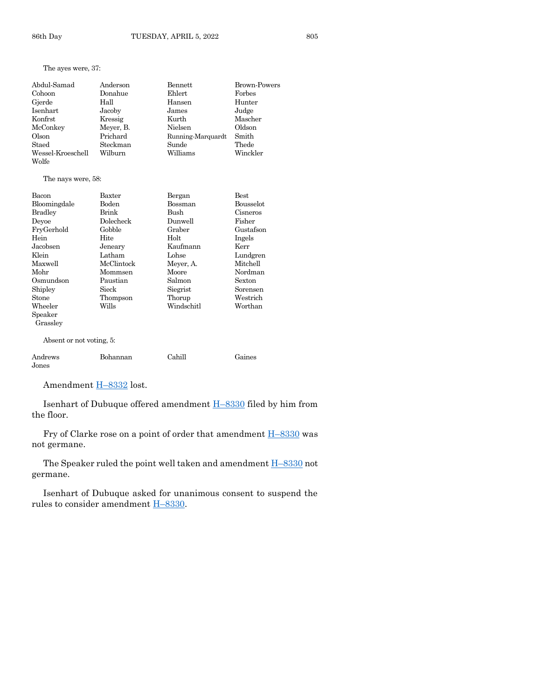## The ayes were, 37:

| Abdul-Samad        | Anderson  | Bennett           | Brown-Powers |
|--------------------|-----------|-------------------|--------------|
| Cohoon             | Donahue   | Ehlert            | Forbes       |
| Gjerde             | Hall      | Hansen            | Hunter       |
| Isenhart           | Jacoby    | James             | Judge        |
| Konfrst            | Kressig   | Kurth             | Mascher      |
| McConkey           | Meyer, B. | Nielsen           | Oldson       |
| Olson              | Prichard  | Running-Marquardt | Smith        |
| Staed              | Steckman  | Sunde             | Thede        |
| Wessel-Kroeschell  | Wilburn   | Williams          | Winckler     |
| Wolfe              |           |                   |              |
|                    |           |                   |              |
| The nays were, 58: |           |                   |              |
| Bacon              | Baxter    | Bergan            | <b>Best</b>  |
| Bloomingdale       | Boden     | Bossman           | Bousselot    |
| Bradley            | Brink     | Bush              | Cisneros     |
| Devoe              | Dolecheck | Dunwell           | Fisher       |
| FryGerhold         | Gobble    | Graber            | Gustafson    |
| Hein               | Hite      | Holt              | Ingels       |
| Jacobsen           | Jeneary   | Kaufmann          | Kerr         |
| Klein              | Latham    | Lohse             | Lundgren     |

| глеш      | талыш      | <b>LUIBE</b> | <b>Lungren</b> |
|-----------|------------|--------------|----------------|
| Maxwell   | McClintock | Meyer, A.    | Mitchell       |
| Mohr      | Mommsen    | Moore        | Nordman        |
| Osmundson | Paustian   | Salmon       | Sexton         |
| Shipley   | Sieck      | Siegrist     | Sorensen       |
| Stone     | Thompson   | Thorup       | Westrich       |
| Wheeler   | Wills      | Windschitl   | Worthan        |
| Speaker   |            |              |                |
| Grassley  |            |              |                |
|           |            |              |                |
|           |            |              |                |

Absent or not voting, 5:

| Andrews | Bohannan | Cahill | Gaines |
|---------|----------|--------|--------|
| Jones   |          |        |        |

Amendment H–[8332](https://www.legis.iowa.gov/legislation/BillBook?ga=89&ba=H8332) lost.

Isenhart of Dubuque offered amendment H–[8330](https://www.legis.iowa.gov/legislation/BillBook?ga=89&ba=H8330) filed by him from the floor.

Fry of Clarke rose on a point of order that amendment  $H-8330$  $H-8330$  was not germane.

The Speaker ruled the point well taken and amendment **H**-[8330](https://www.legis.iowa.gov/legislation/BillBook?ga=89&ba=H8330) not germane.

Isenhart of Dubuque asked for unanimous consent to suspend the rules to consider amendment H–[8330.](https://www.legis.iowa.gov/legislation/BillBook?ga=89&ba=H8330)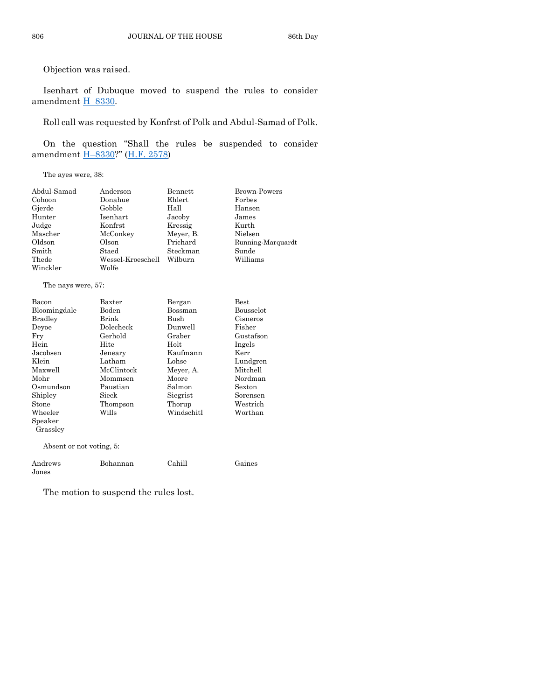Objection was raised.

Isenhart of Dubuque moved to suspend the rules to consider amendment H–[8330.](https://www.legis.iowa.gov/legislation/BillBook?ga=89&ba=H8330)

Roll call was requested by Konfrst of Polk and Abdul-Samad of Polk.

On the question "Shall the rules be suspended to consider amendment H–[8330?](https://www.legis.iowa.gov/legislation/BillBook?ga=89&ba=H8330)" [\(H.F. 2578\)](https://www.legis.iowa.gov/legislation/BillBook?ga=89&ba=HF2578)

The ayes were, 38:

| Abdul-Samad | Anderson          | Bennett   | Brown-Powers      |
|-------------|-------------------|-----------|-------------------|
| Cohoon      | Donahue           | Ehlert    | Forbes            |
| Gjerde      | Gobble            | Hall      | Hansen            |
| Hunter      | Isenhart          | Jacoby    | James             |
| Judge       | Konfrst           | Kressig   | Kurth             |
| Mascher     | McConkey          | Meyer, B. | Nielsen           |
| Oldson      | Olson             | Prichard  | Running-Marquardt |
| Smith       | Staed             | Steckman  | Sunde             |
| Thede       | Wessel-Kroeschell | Wilburn   | Williams          |
| Winckler    | Wolfe             |           |                   |

The nays were, 57:

Jones

| Bacon                    | Baxter     | Bergan     | <b>Best</b>       |
|--------------------------|------------|------------|-------------------|
| Bloomingdale             | Boden      | Bossman    | Bousselot         |
| Bradley                  | Brink      | Bush       | Cisneros          |
| Deyoe                    | Dolecheck  | Dunwell    | Fisher            |
| Fry                      | Gerhold    | Graber     | Gustafson         |
| Hein                     | Hite       | Holt       | Ingels            |
| Jacobsen                 | Jeneary    | Kaufmann   | Kerr              |
| Klein                    | Latham     | Lohse      | Lundgren          |
| Maxwell                  | McClintock | Meyer, A.  | Mitchell          |
| Mohr                     | Mommsen    | Moore      | Nordman           |
| Osmundson                | Paustian   | Salmon     | Sexton            |
| Shipley                  | Sieck      | Siegrist   | Sorensen          |
| Stone                    | Thompson   | Thorup     | ${\rm Westernch}$ |
| Wheeler                  | Wills      | Windschitl | Worthan           |
| Speaker                  |            |            |                   |
| Grassley                 |            |            |                   |
| Absent or not voting, 5: |            |            |                   |
| Andrews                  | Bohannan   | Cahill     | Gaines            |

The motion to suspend the rules lost.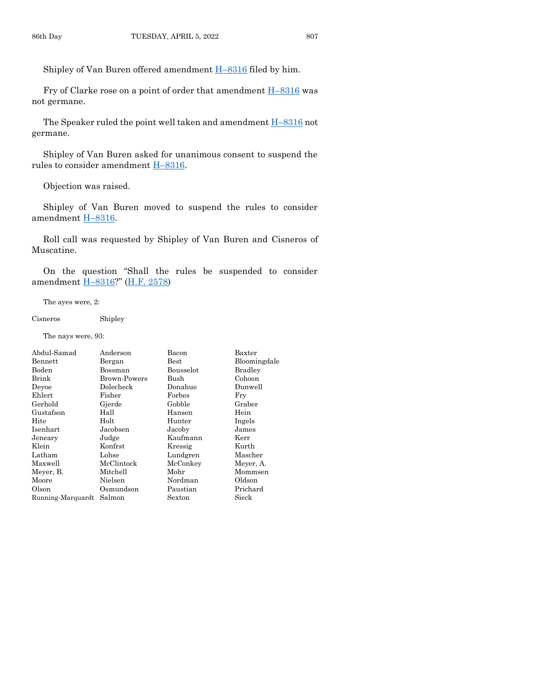Shipley of Van Buren offered amendment H–[8316](https://www.legis.iowa.gov/legislation/BillBook?ga=89&ba=H8316) filed by him.

Fry of Clarke rose on a point of order that amendment  $H-8316$  $H-8316$  was not germane.

The Speaker ruled the point well taken and amendment H–[8316](https://www.legis.iowa.gov/legislation/BillBook?ga=89&ba=H8316) not germane.

Shipley of Van Buren asked for unanimous consent to suspend the rules to consider amendment H–[8316.](https://www.legis.iowa.gov/legislation/BillBook?ga=89&ba=H8316)

Objection was raised.

Shipley of Van Buren moved to suspend the rules to consider amendment H-[8316.](https://www.legis.iowa.gov/legislation/BillBook?ga=89&ba=H8316)

Roll call was requested by Shipley of Van Buren and Cisneros of Muscatine.

On the question "Shall the rules be suspended to consider amendment H–[8316?](https://www.legis.iowa.gov/legislation/BillBook?ga=89&ba=H8316)" [\(H.F. 2578\)](https://www.legis.iowa.gov/legislation/BillBook?ga=89&ba=HF2578)

The ayes were, 2:

#### Cisneros Shipley

The nays were, 93:

| Abdul-Samad       | Anderson     | Bacon         | Baxter         |
|-------------------|--------------|---------------|----------------|
| Bennett           | Bergan       | $_{\rm Best}$ | Bloomingdale   |
| Boden             | Bossman      | Bousselot     | <b>Bradley</b> |
| Brink             | Brown-Powers | Bush          | Cohoon         |
| Devoe             | Dolecheck    | Donahue       | Dunwell        |
| Ehlert            | Fisher       | Forbes        | Fry            |
| Gerhold           | Gjerde       | Gobble        | Graber         |
| Gustafson         | Hall         | Hansen        | Hein           |
| Hite              | Holt         | Hunter        | Ingels         |
| Isenhart          | Jacobsen     | Jacoby        | James          |
| Jeneary           | Judge        | Kaufmann      | Kerr           |
| Klein             | Konfrst      | Kressig       | Kurth          |
| Latham            | Lohse        | Lundgren      | Mascher        |
| Maxwell           | McClintock   | McConkey      | Meyer, A.      |
| Meyer, B.         | Mitchell     | Mohr          | Mommsen        |
| Moore             | Nielsen      | Nordman       | Oldson         |
| Olson             | Osmundson    | Paustian      | Prichard       |
| Running-Marquardt | Salmon       | Sexton        | Sieck          |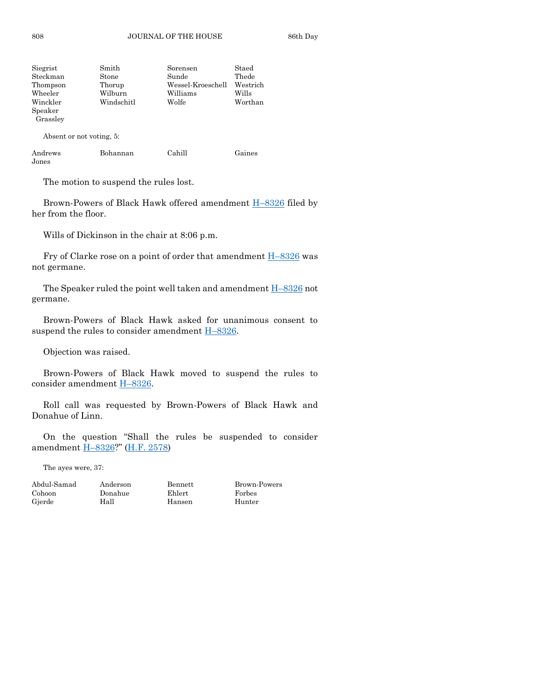| Siegrist | Smith      | Sorensen          | Staed    |
|----------|------------|-------------------|----------|
| Steckman | Stone      | Sunde             | Thede    |
| Thompson | Thorup     | Wessel-Kroeschell | Westrich |
| Wheeler  | Wilburn    | Williams          | Wills    |
| Winckler | Windschitl | Wolfe             | Worthan  |
| Speaker  |            |                   |          |
| Grassley |            |                   |          |
|          |            |                   |          |

Absent or not voting, 5:

| Andrews | Bohannan | Cahill | Gaines |
|---------|----------|--------|--------|
| Jones   |          |        |        |

The motion to suspend the rules lost.

Brown-Powers of Black Hawk offered amendment H–[8326](https://www.legis.iowa.gov/legislation/BillBook?ga=89&ba=H8326) filed by her from the floor.

Wills of Dickinson in the chair at 8:06 p.m.

Fry of Clarke rose on a point of order that amendment  $H-8326$  $H-8326$  was not germane.

The Speaker ruled the point well taken and amendment H–[8326](https://www.legis.iowa.gov/legislation/BillBook?ga=89&ba=H8326) not germane.

Brown-Powers of Black Hawk asked for unanimous consent to suspend the rules to consider amendment  $H-8326$ .

Objection was raised.

Brown-Powers of Black Hawk moved to suspend the rules to consider amendment H–[8326.](https://www.legis.iowa.gov/legislation/BillBook?ga=89&ba=H8326)

Roll call was requested by Brown-Powers of Black Hawk and Donahue of Linn.

On the question "Shall the rules be suspended to consider amendment H–[8326?](https://www.legis.iowa.gov/legislation/BillBook?ga=89&ba=H8326)" [\(H.F. 2578\)](https://www.legis.iowa.gov/legislation/BillBook?ga=89&ba=HF2578)

The ayes were, 37:

| Abdul-Samad | Anderson | Bennett | Brown  |
|-------------|----------|---------|--------|
| Cohoon      | Donahue  | Ehlert  | Forbes |
| Gjerde      | Hall     | Hansen  | Hunter |

Brown-Powers Hunter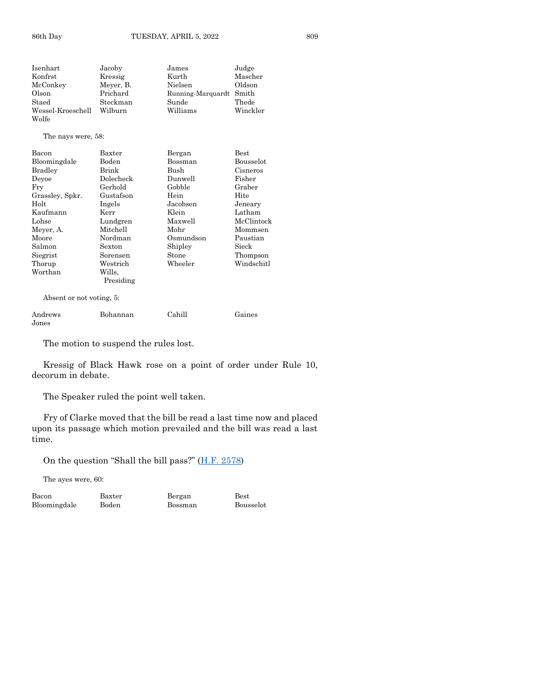The nays were, 58:

| Bacon           | Baxter    | Bergan    | Best       |
|-----------------|-----------|-----------|------------|
| Bloomingdale    | Boden     | Bossman   | Bousselot  |
| <b>Bradley</b>  | Brink     | Bush      | Cisneros   |
| Devoe           | Dolecheck | Dunwell   | Fisher     |
| Fry             | Gerhold   | Gobble    | Graber     |
| Grassley, Spkr. | Gustafson | Hein      | Hite       |
| Holt            | Ingels    | Jacobsen  | Jeneary    |
| Kaufmann        | Kerr      | Klein     | Latham     |
| Lohse           | Lundgren  | Maxwell   | McClintock |
| Meyer, A.       | Mitchell  | Mohr      | Mommsen    |
| Moore           | Nordman   | Osmundson | Paustian   |
| Salmon          | Sexton    | Shipley   | Sieck      |
| Siegrist        | Sorensen  | Stone     | Thompson   |
| Thorup          | Westrich  | Wheeler   | Windschitl |
| Worthan         | Wills.    |           |            |
|                 | Presiding |           |            |

Absent or not voting, 5:

| Andrews       | Bohannan | Cahill | Gaines |
|---------------|----------|--------|--------|
| ${\rm Jones}$ |          |        |        |

The motion to suspend the rules lost.

Kressig of Black Hawk rose on a point of order under Rule 10, decorum in debate.

The Speaker ruled the point well taken.

Fry of Clarke moved that the bill be read a last time now and placed upon its passage which motion prevailed and the bill was read a last time.

On the question "Shall the bill pass?" ([H.F. 2578\)](https://www.legis.iowa.gov/legislation/BillBook?ga=89&ba=HF2578)

The ayes were, 60:

Bloomingdale

Bacon Baxter Bergan Best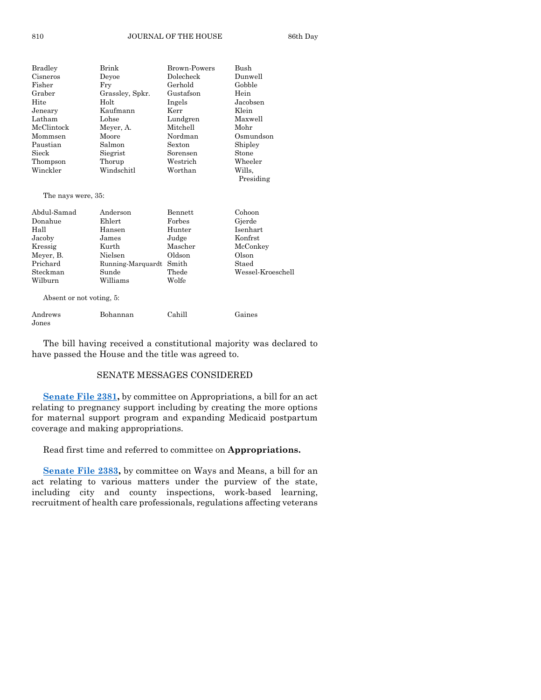| <b>Bradley</b> | Brink           | <b>Brown-Powers</b> | Bush      |
|----------------|-----------------|---------------------|-----------|
| Cisneros       | Devoe           | Dolecheck           | Dunwell   |
| Fisher         | Fry             | Gerhold             | Gobble    |
| Graber         | Grassley, Spkr. | Gustafson           | Hein      |
| Hite           | Holt            | Ingels              | Jacobsen  |
| Jeneary        | Kaufmann        | Kerr                | Klein     |
| Latham         | Lohse           | Lundgren            | Maxwell   |
| McClintock     | Meyer, A.       | Mitchell            | Mohr      |
| Mommsen        | Moore           | Nordman             | Osmundson |
| Paustian       | Salmon          | Sexton              | Shipley   |
| Sieck          | Siegrist        | Sorensen            | Stone     |
| Thompson       | Thorup          | Westrich            | Wheeler   |
| Winckler       | Windschitl      | Worthan             | Wills.    |
|                |                 |                     | Presiding |

The nays were, 35:

| Abdul-Samad | Anderson                | Bennett | Cohoon            |
|-------------|-------------------------|---------|-------------------|
| Donahue     | Ehlert                  | Forbes  | Gjerde            |
| Hall        | Hansen                  | Hunter  | Isenhart          |
| Jacoby      | James                   | Judge   | Konfrst           |
| Kressig     | Kurth                   | Mascher | McConkey          |
| Meyer, B.   | Nielsen                 | Oldson  | Olson             |
| Prichard    | Running-Marquardt Smith |         | Staed             |
| Steckman    | Sunde                   | Thede   | Wessel-Kroeschell |
| Wilburn     | Williams                | Wolfe   |                   |

Absent or not voting, 5:

| Andrews | Bohannan | Cahill | Gaines |
|---------|----------|--------|--------|
| Jones   |          |        |        |

The bill having received a constitutional majority was declared to have passed the House and the title was agreed to.

# SENATE MESSAGES CONSIDERED

**[Senate File 2381,](https://www.legis.iowa.gov/legislation/BillBook?ga=89&ba=SF2381)** by committee on Appropriations, a bill for an act relating to pregnancy support including by creating the more options for maternal support program and expanding Medicaid postpartum coverage and making appropriations.

Read first time and referred to committee on **Appropriations.**

**[Senate File 2383,](https://www.legis.iowa.gov/legislation/BillBook?ga=89&ba=SF2383)** by committee on Ways and Means, a bill for an act relating to various matters under the purview of the state, including city and county inspections, work-based learning, recruitment of health care professionals, regulations affecting veterans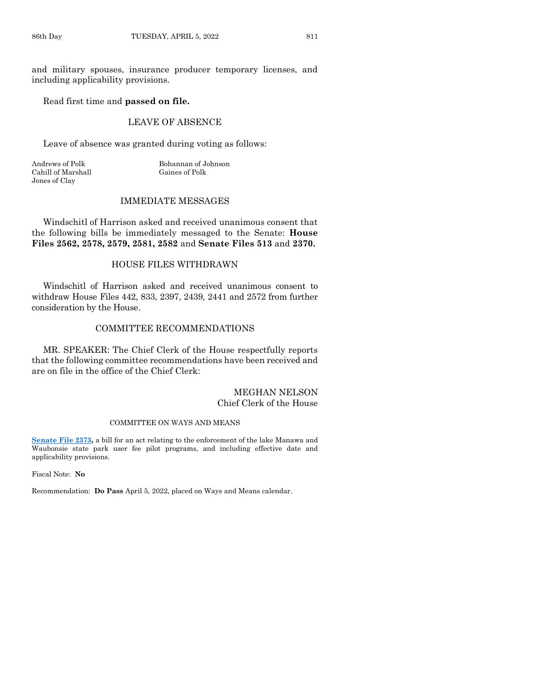and military spouses, insurance producer temporary licenses, and including applicability provisions.

#### Read first time and **passed on file.**

# LEAVE OF ABSENCE

Leave of absence was granted during voting as follows:

Cahill of Marshall Gaines of Polk Jones of Clay

Andrews of Polk Bohannan of Johnson

#### IMMEDIATE MESSAGES

Windschitl of Harrison asked and received unanimous consent that the following bills be immediately messaged to the Senate: **House Files 2562, 2578, 2579, 2581, 2582** and **Senate Files 513** and **2370.**

# HOUSE FILES WITHDRAWN

Windschitl of Harrison asked and received unanimous consent to withdraw House Files 442, 833, 2397, 2439, 2441 and 2572 from further consideration by the House.

# COMMITTEE RECOMMENDATIONS

MR. SPEAKER: The Chief Clerk of the House respectfully reports that the following committee recommendations have been received and are on file in the office of the Chief Clerk:

#### MEGHAN NELSON Chief Clerk of the House

#### COMMITTEE ON WAYS AND MEANS

**[Senate File 2373,](https://www.legis.iowa.gov/legislation/BillBook?ga=89&ba=SF2373)** a bill for an act relating to the enforcement of the lake Manawa and Waubonsie state park user fee pilot programs, and including effective date and applicability provisions.

Fiscal Note: **No**

Recommendation: **Do Pass** April 5, 2022, placed on Ways and Means calendar.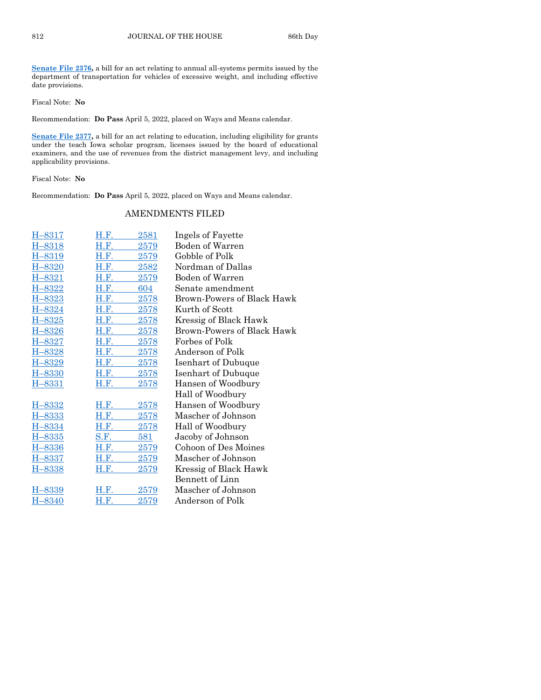**[Senate File 2376,](https://www.legis.iowa.gov/legislation/BillBook?ga=89&ba=SF2376)** a bill for an act relating to annual all-systems permits issued by the department of transportation for vehicles of excessive weight, and including effective date provisions.

Fiscal Note: **No**

Recommendation: **Do Pass** April 5, 2022, placed on Ways and Means calendar.

**[Senate File 2377,](https://www.legis.iowa.gov/legislation/BillBook?ga=89&ba=SF2377)** a bill for an act relating to education, including eligibility for grants under the teach Iowa scholar program, licenses issued by the board of educational examiners, and the use of revenues from the district management levy, and including applicability provisions.

Fiscal Note: **No**

Recommendation: **Do Pass** April 5, 2022, placed on Ways and Means calendar.

# AMENDMENTS FILED

| H–8317            | H.F.        | 2581              | Ingels of Fayette          |
|-------------------|-------------|-------------------|----------------------------|
| $-8318$<br>н.     | H.F.        | 2579              | Boden of Warren            |
| H-8319            | H.F.        | 2579              | Gobble of Polk             |
| H-8320            | H.F.        | 2582              | Nordman of Dallas          |
| <u>-8321</u><br>H | H.F.        | <u>2579</u>       | Boden of Warren            |
| $-8322$<br>H.     | H.F.        | 604               | Senate amendment           |
| $-8323$<br>H      | H.F.        | 2578              | Brown-Powers of Black Hawk |
| <u>H–8324</u>     | H.F.        | <u>2578</u>       | Kurth of Scott             |
| $-8325$<br>H      | H.F.        | 2578              | Kressig of Black Hawk      |
| H-8326            | H.F.        | 2578              | Brown-Powers of Black Hawk |
| H-8327            | H.F.        | 2578              | Forbes of Polk             |
| H-8328            | H.F.        | 2578              | Anderson of Polk           |
| H-8329            | H.F.        | <u> 2578 </u>     | Isenhart of Dubuque        |
| $-8330$<br>H      | H.F.        | 2578              | Isenhart of Dubuque        |
| H-8331            | <b>H.F.</b> | 2578              | Hansen of Woodbury         |
|                   |             |                   | Hall of Woodbury           |
| H-8332            | H.F.        | <u>2578</u>       | Hansen of Woodbury         |
| H-8333            | H.F.        | 2578              | Mascher of Johnson         |
| <u>H–8334</u>     | H.F.        | $\overline{2578}$ | Hall of Woodbury           |
| <u>H–8335</u>     | S.F.        | 581               | Jacoby of Johnson          |
| $-8336$<br>H.     | H.F.        | 2579              | Cohoon of Des Moines       |
| H-8337            | <b>H.F.</b> | 2579              | Mascher of Johnson         |
| <u>H–8338</u>     | H.F.        | 2579              | Kressig of Black Hawk      |
|                   |             |                   | Bennett of Linn            |
| -8339<br>н        | H.F.        | 2579              | Mascher of Johnson         |
| H-8340            | H.F.        | 2579              | Anderson of Polk           |
|                   |             |                   |                            |